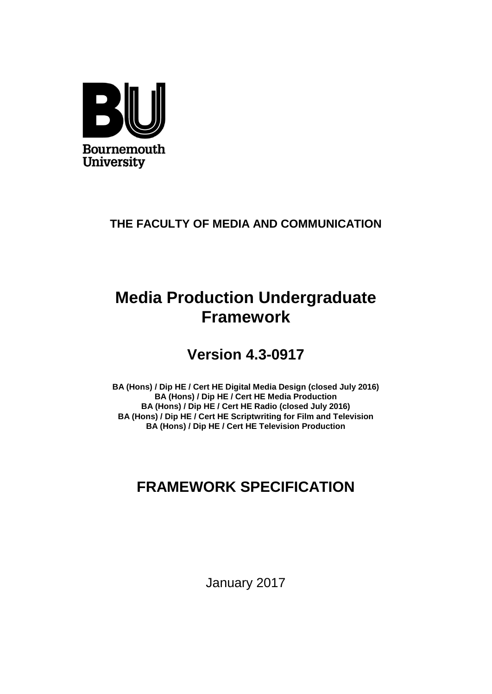

### **THE FACULTY OF MEDIA AND COMMUNICATION**

# **Media Production Undergraduate Framework**

# **Version 4.3-0917**

**BA (Hons) / Dip HE / Cert HE Digital Media Design (closed July 2016) BA (Hons) / Dip HE / Cert HE Media Production BA (Hons) / Dip HE / Cert HE Radio (closed July 2016) BA (Hons) / Dip HE / Cert HE Scriptwriting for Film and Television BA (Hons) / Dip HE / Cert HE Television Production**

# **FRAMEWORK SPECIFICATION**

January 2017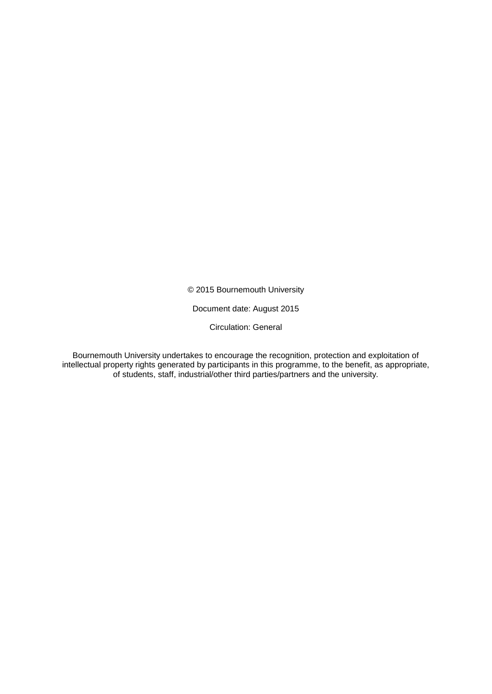© 2015 Bournemouth University

Document date: August 2015

Circulation: General

Bournemouth University undertakes to encourage the recognition, protection and exploitation of intellectual property rights generated by participants in this programme, to the benefit, as appropriate, of students, staff, industrial/other third parties/partners and the university.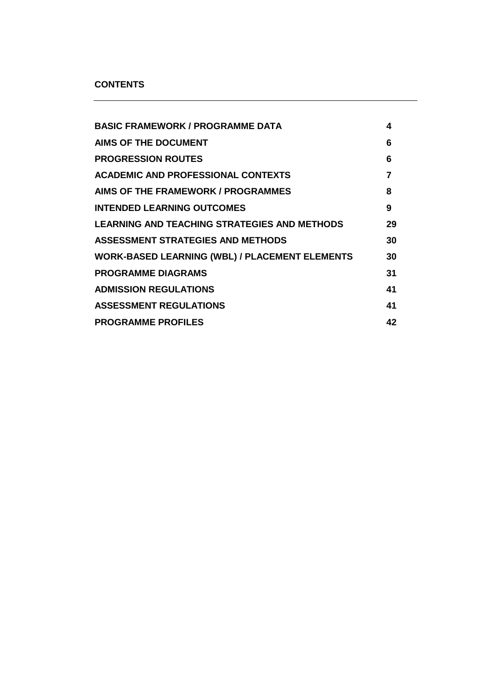#### **CONTENTS**

| <b>BASIC FRAMEWORK / PROGRAMME DATA</b>               | 4  |
|-------------------------------------------------------|----|
| <b>AIMS OF THE DOCUMENT</b>                           | 6  |
| <b>PROGRESSION ROUTES</b>                             | 6  |
| <b>ACADEMIC AND PROFESSIONAL CONTEXTS</b>             | 7  |
| AIMS OF THE FRAMEWORK / PROGRAMMES                    | 8  |
| <b>INTENDED LEARNING OUTCOMES</b>                     | 9  |
| <b>LEARNING AND TEACHING STRATEGIES AND METHODS</b>   | 29 |
| ASSESSMENT STRATEGIES AND METHODS                     | 30 |
| <b>WORK-BASED LEARNING (WBL) / PLACEMENT ELEMENTS</b> | 30 |
| <b>PROGRAMME DIAGRAMS</b>                             | 31 |
| <b>ADMISSION REGULATIONS</b>                          | 41 |
| <b>ASSESSMENT REGULATIONS</b>                         | 41 |
| <b>PROGRAMME PROFILES</b>                             | 42 |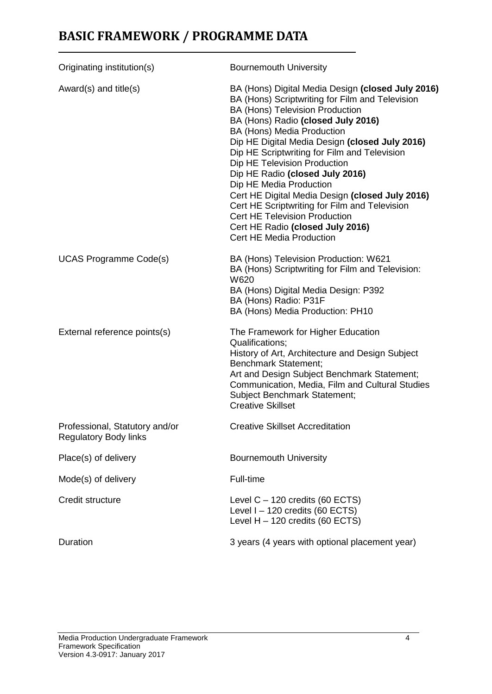# **BASIC FRAMEWORK / PROGRAMME DATA**

| Originating institution(s)                                     | <b>Bournemouth University</b>                                                                                                                                                                                                                                                                                                                                                                                                                                                                                                                                                                                                  |
|----------------------------------------------------------------|--------------------------------------------------------------------------------------------------------------------------------------------------------------------------------------------------------------------------------------------------------------------------------------------------------------------------------------------------------------------------------------------------------------------------------------------------------------------------------------------------------------------------------------------------------------------------------------------------------------------------------|
| Award(s) and title(s)                                          | BA (Hons) Digital Media Design (closed July 2016)<br>BA (Hons) Scriptwriting for Film and Television<br>BA (Hons) Television Production<br>BA (Hons) Radio (closed July 2016)<br>BA (Hons) Media Production<br>Dip HE Digital Media Design (closed July 2016)<br>Dip HE Scriptwriting for Film and Television<br>Dip HE Television Production<br>Dip HE Radio (closed July 2016)<br>Dip HE Media Production<br>Cert HE Digital Media Design (closed July 2016)<br>Cert HE Scriptwriting for Film and Television<br><b>Cert HE Television Production</b><br>Cert HE Radio (closed July 2016)<br><b>Cert HE Media Production</b> |
| <b>UCAS Programme Code(s)</b>                                  | BA (Hons) Television Production: W621<br>BA (Hons) Scriptwriting for Film and Television:<br>W620<br>BA (Hons) Digital Media Design: P392<br>BA (Hons) Radio: P31F<br>BA (Hons) Media Production: PH10                                                                                                                                                                                                                                                                                                                                                                                                                         |
| External reference points(s)                                   | The Framework for Higher Education<br>Qualifications;<br>History of Art, Architecture and Design Subject<br><b>Benchmark Statement;</b><br>Art and Design Subject Benchmark Statement;<br>Communication, Media, Film and Cultural Studies<br><b>Subject Benchmark Statement;</b><br><b>Creative Skillset</b>                                                                                                                                                                                                                                                                                                                   |
| Professional, Statutory and/or<br><b>Regulatory Body links</b> | <b>Creative Skillset Accreditation</b>                                                                                                                                                                                                                                                                                                                                                                                                                                                                                                                                                                                         |
| Place(s) of delivery                                           | <b>Bournemouth University</b>                                                                                                                                                                                                                                                                                                                                                                                                                                                                                                                                                                                                  |
| Mode(s) of delivery                                            | Full-time                                                                                                                                                                                                                                                                                                                                                                                                                                                                                                                                                                                                                      |
| Credit structure                                               | Level $C - 120$ credits (60 ECTS)<br>Level $I - 120$ credits (60 ECTS)<br>Level $H - 120$ credits (60 ECTS)                                                                                                                                                                                                                                                                                                                                                                                                                                                                                                                    |
| Duration                                                       | 3 years (4 years with optional placement year)                                                                                                                                                                                                                                                                                                                                                                                                                                                                                                                                                                                 |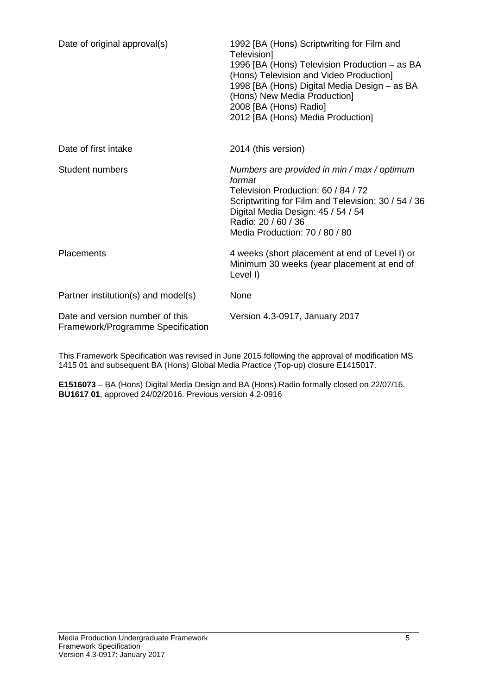| Date of original approval(s)                                         | 1992 [BA (Hons) Scriptwriting for Film and<br>Television]<br>1996 [BA (Hons) Television Production – as BA<br>(Hons) Television and Video Production]<br>1998 [BA (Hons) Digital Media Design - as BA<br>(Hons) New Media Production]<br>2008 [BA (Hons) Radio]<br>2012 [BA (Hons) Media Production] |
|----------------------------------------------------------------------|------------------------------------------------------------------------------------------------------------------------------------------------------------------------------------------------------------------------------------------------------------------------------------------------------|
| Date of first intake                                                 | 2014 (this version)                                                                                                                                                                                                                                                                                  |
| Student numbers                                                      | Numbers are provided in min / max / optimum<br>format<br>Television Production: 60 / 84 / 72<br>Scriptwriting for Film and Television: 30 / 54 / 36<br>Digital Media Design: 45 / 54 / 54<br>Radio: 20 / 60 / 36<br>Media Production: 70 / 80 / 80                                                   |
| <b>Placements</b>                                                    | 4 weeks (short placement at end of Level I) or<br>Minimum 30 weeks (year placement at end of<br>Level I)                                                                                                                                                                                             |
| Partner institution(s) and model(s)                                  | None                                                                                                                                                                                                                                                                                                 |
| Date and version number of this<br>Framework/Programme Specification | Version 4.3-0917, January 2017                                                                                                                                                                                                                                                                       |

This Framework Specification was revised in June 2015 following the approval of modification MS 1415 01 and subsequent BA (Hons) Global Media Practice (Top-up) closure E1415017.

**E1516073** – BA (Hons) Digital Media Design and BA (Hons) Radio formally closed on 22/07/16. **BU1617 01**, approved 24/02/2016. Previous version 4.2-0916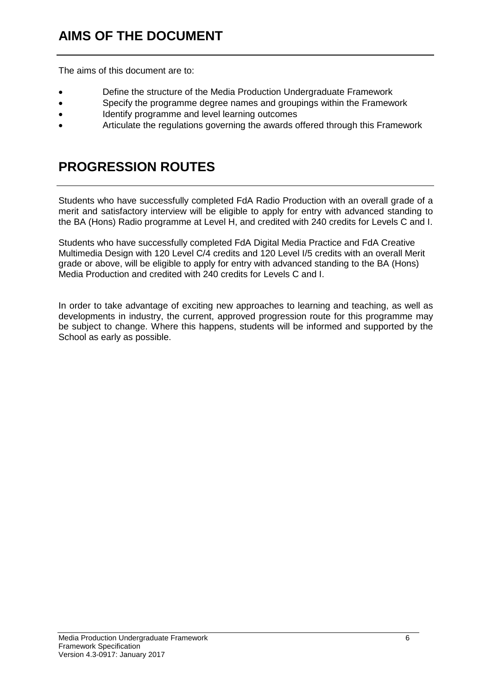The aims of this document are to:

- Define the structure of the Media Production Undergraduate Framework
- Specify the programme degree names and groupings within the Framework
- Identify programme and level learning outcomes
- Articulate the regulations governing the awards offered through this Framework

# **PROGRESSION ROUTES**

Students who have successfully completed FdA Radio Production with an overall grade of a merit and satisfactory interview will be eligible to apply for entry with advanced standing to the BA (Hons) Radio programme at Level H, and credited with 240 credits for Levels C and I.

Students who have successfully completed FdA Digital Media Practice and FdA Creative Multimedia Design with 120 Level C/4 credits and 120 Level I/5 credits with an overall Merit grade or above, will be eligible to apply for entry with advanced standing to the BA (Hons) Media Production and credited with 240 credits for Levels C and I.

In order to take advantage of exciting new approaches to learning and teaching, as well as developments in industry, the current, approved progression route for this programme may be subject to change. Where this happens, students will be informed and supported by the School as early as possible.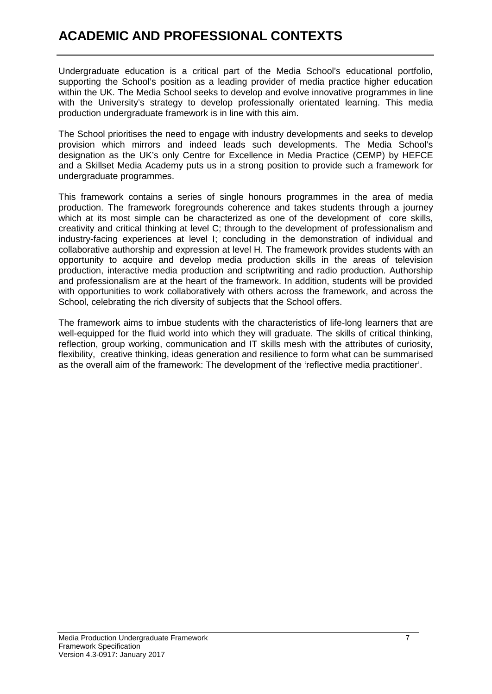# **ACADEMIC AND PROFESSIONAL CONTEXTS**

Undergraduate education is a critical part of the Media School's educational portfolio, supporting the School's position as a leading provider of media practice higher education within the UK. The Media School seeks to develop and evolve innovative programmes in line with the University's strategy to develop professionally orientated learning. This media production undergraduate framework is in line with this aim.

The School prioritises the need to engage with industry developments and seeks to develop provision which mirrors and indeed leads such developments. The Media School's designation as the UK's only Centre for Excellence in Media Practice (CEMP) by HEFCE and a Skillset Media Academy puts us in a strong position to provide such a framework for undergraduate programmes.

This framework contains a series of single honours programmes in the area of media production. The framework foregrounds coherence and takes students through a journey which at its most simple can be characterized as one of the development of core skills, creativity and critical thinking at level C; through to the development of professionalism and industry-facing experiences at level I; concluding in the demonstration of individual and collaborative authorship and expression at level H. The framework provides students with an opportunity to acquire and develop media production skills in the areas of television production, interactive media production and scriptwriting and radio production. Authorship and professionalism are at the heart of the framework. In addition, students will be provided with opportunities to work collaboratively with others across the framework, and across the School, celebrating the rich diversity of subjects that the School offers.

The framework aims to imbue students with the characteristics of life-long learners that are well-equipped for the fluid world into which they will graduate. The skills of critical thinking, reflection, group working, communication and IT skills mesh with the attributes of curiosity, flexibility, creative thinking, ideas generation and resilience to form what can be summarised as the overall aim of the framework: The development of the 'reflective media practitioner'.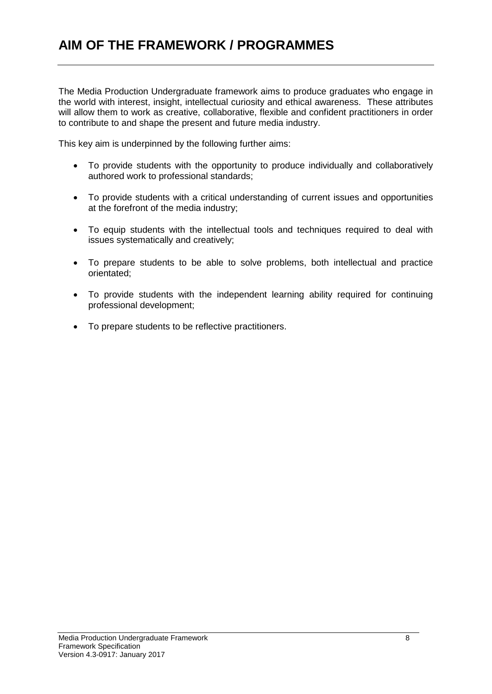The Media Production Undergraduate framework aims to produce graduates who engage in the world with interest, insight, intellectual curiosity and ethical awareness. These attributes will allow them to work as creative, collaborative, flexible and confident practitioners in order to contribute to and shape the present and future media industry.

This key aim is underpinned by the following further aims:

- To provide students with the opportunity to produce individually and collaboratively authored work to professional standards;
- To provide students with a critical understanding of current issues and opportunities at the forefront of the media industry;
- To equip students with the intellectual tools and techniques required to deal with issues systematically and creatively;
- To prepare students to be able to solve problems, both intellectual and practice orientated;
- To provide students with the independent learning ability required for continuing professional development;
- To prepare students to be reflective practitioners.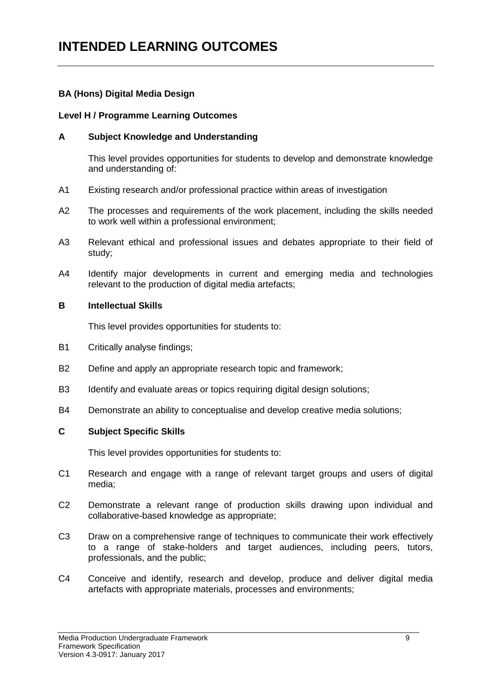## **INTENDED LEARNING OUTCOMES**

#### **BA (Hons) Digital Media Design**

#### **Level H / Programme Learning Outcomes**

#### **A Subject Knowledge and Understanding**

This level provides opportunities for students to develop and demonstrate knowledge and understanding of:

- A1 Existing research and/or professional practice within areas of investigation
- A2 The processes and requirements of the work placement, including the skills needed to work well within a professional environment;
- A3 Relevant ethical and professional issues and debates appropriate to their field of study;
- A4 Identify major developments in current and emerging media and technologies relevant to the production of digital media artefacts;

#### **B Intellectual Skills**

This level provides opportunities for students to:

- B1 Critically analyse findings;
- B2 Define and apply an appropriate research topic and framework;
- B3 Identify and evaluate areas or topics requiring digital design solutions;
- B4 Demonstrate an ability to conceptualise and develop creative media solutions;

#### **C Subject Specific Skills**

- C1 Research and engage with a range of relevant target groups and users of digital media;
- C2 Demonstrate a relevant range of production skills drawing upon individual and collaborative-based knowledge as appropriate;
- C3 Draw on a comprehensive range of techniques to communicate their work effectively to a range of stake-holders and target audiences, including peers, tutors, professionals, and the public;
- C4 Conceive and identify, research and develop, produce and deliver digital media artefacts with appropriate materials, processes and environments;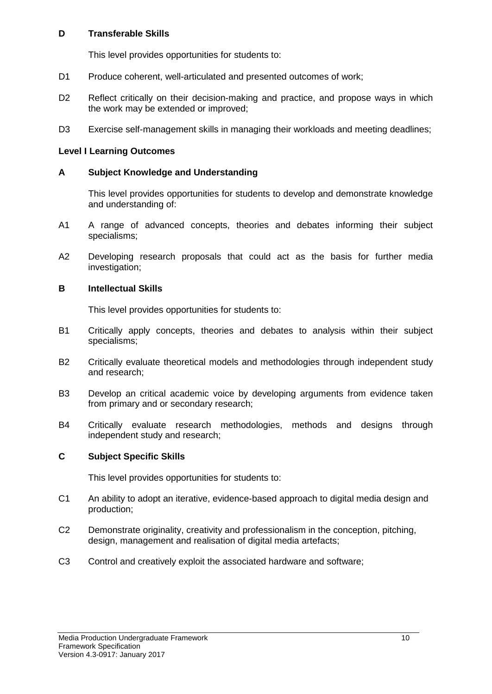This level provides opportunities for students to:

- D1 Produce coherent, well-articulated and presented outcomes of work;
- D<sub>2</sub> Reflect critically on their decision-making and practice, and propose ways in which the work may be extended or improved;
- D3 Exercise self-management skills in managing their workloads and meeting deadlines;

#### **Level I Learning Outcomes**

#### **A Subject Knowledge and Understanding**

This level provides opportunities for students to develop and demonstrate knowledge and understanding of:

- A1 A range of advanced concepts, theories and debates informing their subject specialisms;
- A2 Developing research proposals that could act as the basis for further media investigation;

#### **B Intellectual Skills**

This level provides opportunities for students to:

- B1 Critically apply concepts, theories and debates to analysis within their subject specialisms;
- B2 Critically evaluate theoretical models and methodologies through independent study and research;
- B3 Develop an critical academic voice by developing arguments from evidence taken from primary and or secondary research;
- B4 Critically evaluate research methodologies, methods and designs through independent study and research;

#### **C Subject Specific Skills**

- C1 An ability to adopt an iterative, evidence-based approach to digital media design and production;
- C2 Demonstrate originality, creativity and professionalism in the conception, pitching, design, management and realisation of digital media artefacts;
- C3 Control and creatively exploit the associated hardware and software;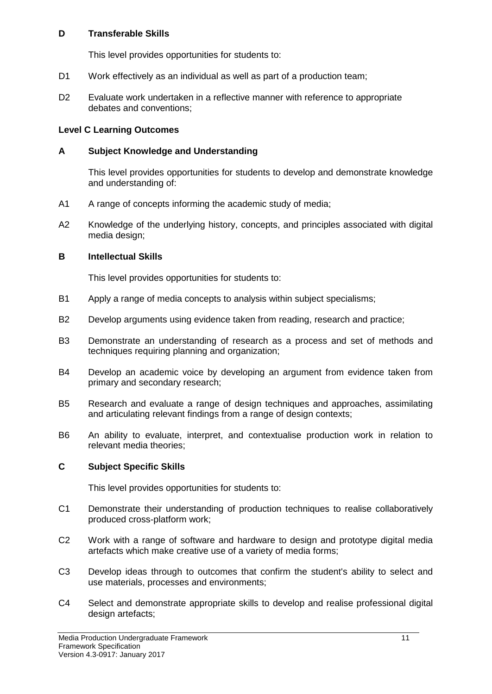This level provides opportunities for students to:

- D1 Work effectively as an individual as well as part of a production team;
- D2 Evaluate work undertaken in a reflective manner with reference to appropriate debates and conventions;

#### **Level C Learning Outcomes**

#### **A Subject Knowledge and Understanding**

This level provides opportunities for students to develop and demonstrate knowledge and understanding of:

- A1 A range of concepts informing the academic study of media;
- A2 Knowledge of the underlying history, concepts, and principles associated with digital media design;

#### **B Intellectual Skills**

This level provides opportunities for students to:

- B1 Apply a range of media concepts to analysis within subject specialisms;
- B2 Develop arguments using evidence taken from reading, research and practice;
- B3 Demonstrate an understanding of research as a process and set of methods and techniques requiring planning and organization;
- B4 Develop an academic voice by developing an argument from evidence taken from primary and secondary research;
- B5 Research and evaluate a range of design techniques and approaches, assimilating and articulating relevant findings from a range of design contexts;
- B6 An ability to evaluate, interpret, and contextualise production work in relation to relevant media theories;

#### **C Subject Specific Skills**

- C1 Demonstrate their understanding of production techniques to realise collaboratively produced cross-platform work;
- C2 Work with a range of software and hardware to design and prototype digital media artefacts which make creative use of a variety of media forms;
- C3 Develop ideas through to outcomes that confirm the student's ability to select and use materials, processes and environments;
- C4 Select and demonstrate appropriate skills to develop and realise professional digital design artefacts;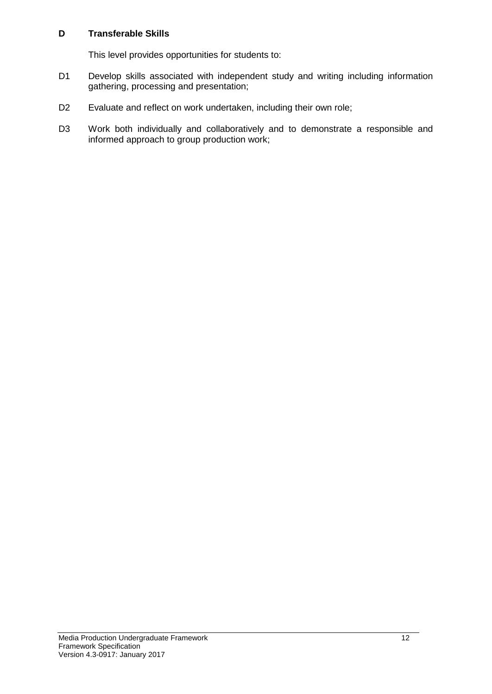- D1 Develop skills associated with independent study and writing including information gathering, processing and presentation;
- D2 Evaluate and reflect on work undertaken, including their own role;
- D3 Work both individually and collaboratively and to demonstrate a responsible and informed approach to group production work;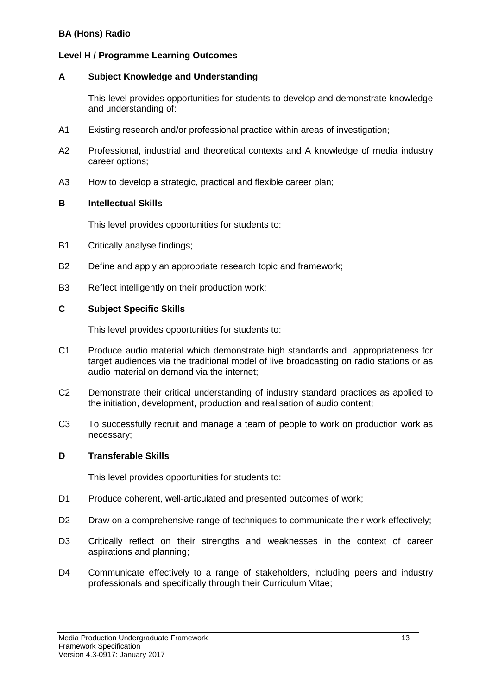#### **BA (Hons) Radio**

#### **Level H / Programme Learning Outcomes**

#### **A Subject Knowledge and Understanding**

This level provides opportunities for students to develop and demonstrate knowledge and understanding of:

- A1 Existing research and/or professional practice within areas of investigation;
- A2 Professional, industrial and theoretical contexts and A knowledge of media industry career options;
- A3 How to develop a strategic, practical and flexible career plan;

#### **B Intellectual Skills**

This level provides opportunities for students to:

- B1 Critically analyse findings;
- B2 Define and apply an appropriate research topic and framework;
- B3 Reflect intelligently on their production work;

#### **C Subject Specific Skills**

This level provides opportunities for students to:

- C1 Produce audio material which demonstrate high standards and appropriateness for target audiences via the traditional model of live broadcasting on radio stations or as audio material on demand via the internet;
- C2 Demonstrate their critical understanding of industry standard practices as applied to the initiation, development, production and realisation of audio content;
- C3 To successfully recruit and manage a team of people to work on production work as necessary;

#### **D Transferable Skills**

- D1 Produce coherent, well-articulated and presented outcomes of work;
- D2 Draw on a comprehensive range of techniques to communicate their work effectively;
- D3 Critically reflect on their strengths and weaknesses in the context of career aspirations and planning;
- D4 Communicate effectively to a range of stakeholders, including peers and industry professionals and specifically through their Curriculum Vitae;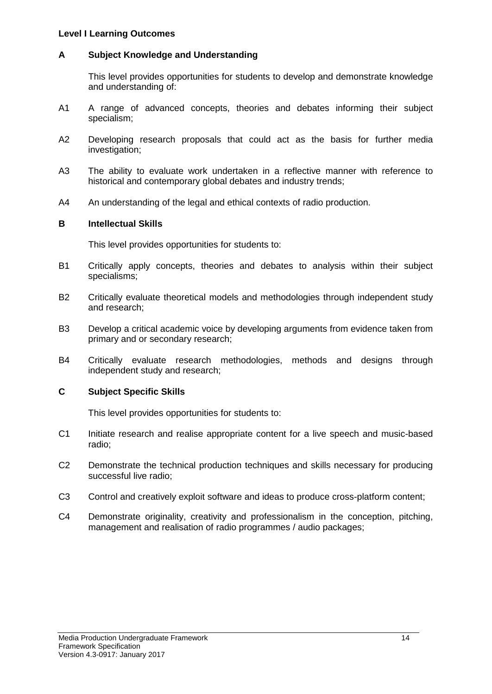#### **Level I Learning Outcomes**

#### **A Subject Knowledge and Understanding**

This level provides opportunities for students to develop and demonstrate knowledge and understanding of:

- A1 A range of advanced concepts, theories and debates informing their subject specialism;
- A2 Developing research proposals that could act as the basis for further media investigation;
- A3 The ability to evaluate work undertaken in a reflective manner with reference to historical and contemporary global debates and industry trends;
- A4 An understanding of the legal and ethical contexts of radio production.

#### **B Intellectual Skills**

This level provides opportunities for students to:

- B1 Critically apply concepts, theories and debates to analysis within their subject specialisms;
- B2 Critically evaluate theoretical models and methodologies through independent study and research;
- B3 Develop a critical academic voice by developing arguments from evidence taken from primary and or secondary research;
- B4 Critically evaluate research methodologies, methods and designs through independent study and research;

#### **C Subject Specific Skills**

- C1 Initiate research and realise appropriate content for a live speech and music-based radio;
- C2 Demonstrate the technical production techniques and skills necessary for producing successful live radio;
- C3 Control and creatively exploit software and ideas to produce cross-platform content;
- C4 Demonstrate originality, creativity and professionalism in the conception, pitching, management and realisation of radio programmes / audio packages;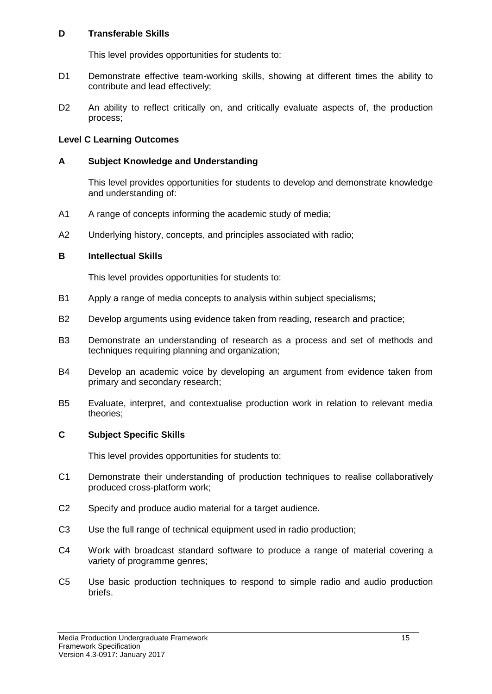This level provides opportunities for students to:

- D1 Demonstrate effective team-working skills, showing at different times the ability to contribute and lead effectively;
- D<sub>2</sub> An ability to reflect critically on, and critically evaluate aspects of, the production process;

#### **Level C Learning Outcomes**

#### **A Subject Knowledge and Understanding**

This level provides opportunities for students to develop and demonstrate knowledge and understanding of:

- A1 A range of concepts informing the academic study of media:
- A2 Underlying history, concepts, and principles associated with radio;

#### **B Intellectual Skills**

This level provides opportunities for students to:

- B1 Apply a range of media concepts to analysis within subject specialisms;
- B2 Develop arguments using evidence taken from reading, research and practice;
- B3 Demonstrate an understanding of research as a process and set of methods and techniques requiring planning and organization;
- B4 Develop an academic voice by developing an argument from evidence taken from primary and secondary research;
- B5 Evaluate, interpret, and contextualise production work in relation to relevant media theories;

#### **C Subject Specific Skills**

- C1 Demonstrate their understanding of production techniques to realise collaboratively produced cross-platform work;
- C2 Specify and produce audio material for a target audience.
- C3 Use the full range of technical equipment used in radio production;
- C4 Work with broadcast standard software to produce a range of material covering a variety of programme genres;
- C5 Use basic production techniques to respond to simple radio and audio production briefs.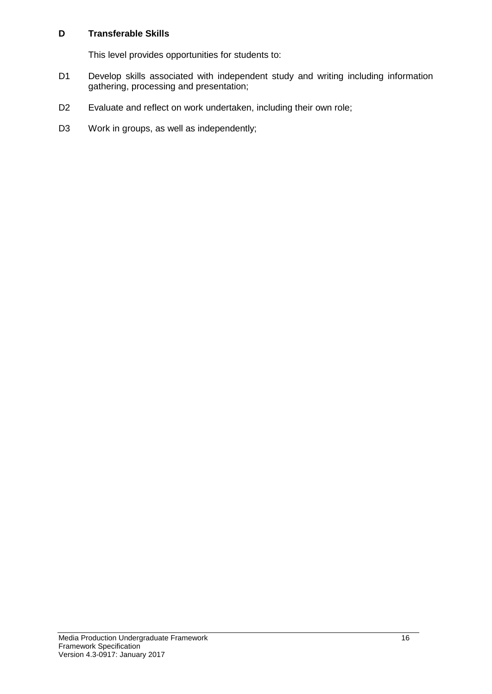- D1 Develop skills associated with independent study and writing including information gathering, processing and presentation;
- D2 Evaluate and reflect on work undertaken, including their own role;
- D3 Work in groups, as well as independently;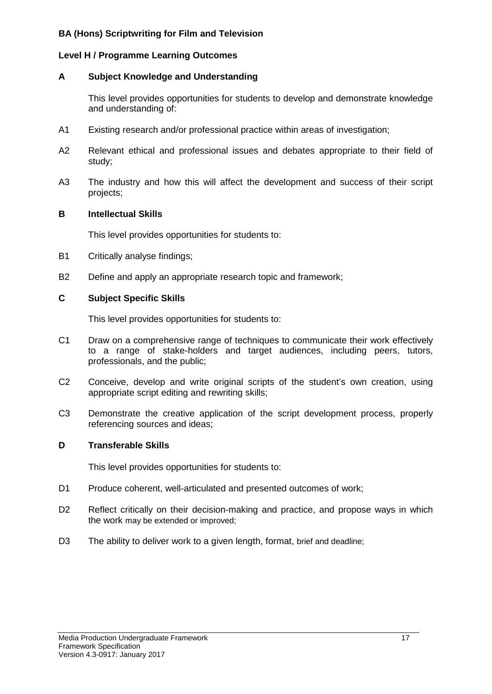#### **BA (Hons) Scriptwriting for Film and Television**

#### **Level H / Programme Learning Outcomes**

#### **A Subject Knowledge and Understanding**

This level provides opportunities for students to develop and demonstrate knowledge and understanding of:

- A1 Existing research and/or professional practice within areas of investigation;
- A2 Relevant ethical and professional issues and debates appropriate to their field of study;
- A3 The industry and how this will affect the development and success of their script projects;

#### **B Intellectual Skills**

This level provides opportunities for students to:

- B1 Critically analyse findings;
- B2 Define and apply an appropriate research topic and framework;

#### **C Subject Specific Skills**

This level provides opportunities for students to:

- C1 Draw on a comprehensive range of techniques to communicate their work effectively to a range of stake-holders and target audiences, including peers, tutors, professionals, and the public;
- C2 Conceive, develop and write original scripts of the student's own creation, using appropriate script editing and rewriting skills;
- C3 Demonstrate the creative application of the script development process, properly referencing sources and ideas;

#### **D Transferable Skills**

- D1 Produce coherent, well-articulated and presented outcomes of work;
- D2 Reflect critically on their decision-making and practice, and propose ways in which the work may be extended or improved;
- D3 The ability to deliver work to a given length, format, brief and deadline;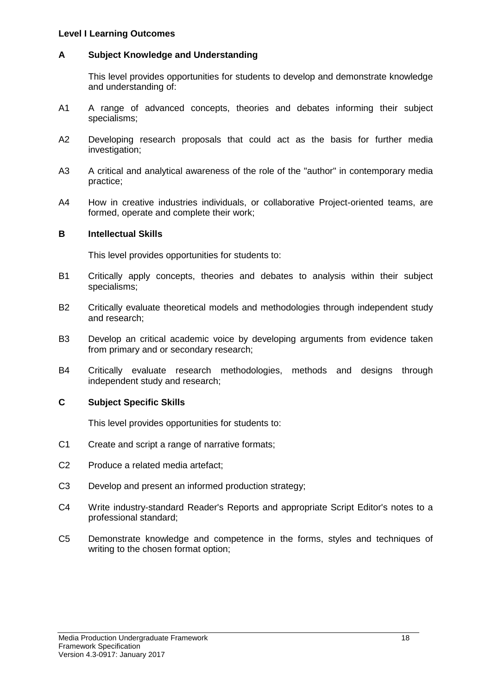#### **Level I Learning Outcomes**

#### **A Subject Knowledge and Understanding**

This level provides opportunities for students to develop and demonstrate knowledge and understanding of:

- A1 A range of advanced concepts, theories and debates informing their subject specialisms;
- A2 Developing research proposals that could act as the basis for further media investigation;
- A3 A critical and analytical awareness of the role of the "author" in contemporary media practice;
- A4 How in creative industries individuals, or collaborative Project-oriented teams, are formed, operate and complete their work;

#### **B Intellectual Skills**

This level provides opportunities for students to:

- B1 Critically apply concepts, theories and debates to analysis within their subject specialisms;
- B2 Critically evaluate theoretical models and methodologies through independent study and research;
- B3 Develop an critical academic voice by developing arguments from evidence taken from primary and or secondary research;
- B4 Critically evaluate research methodologies, methods and designs through independent study and research;

#### **C Subject Specific Skills**

- C1 Create and script a range of narrative formats;
- C2 Produce a related media artefact;
- C3 Develop and present an informed production strategy;
- C4 Write industry-standard Reader's Reports and appropriate Script Editor's notes to a professional standard;
- C5 Demonstrate knowledge and competence in the forms, styles and techniques of writing to the chosen format option;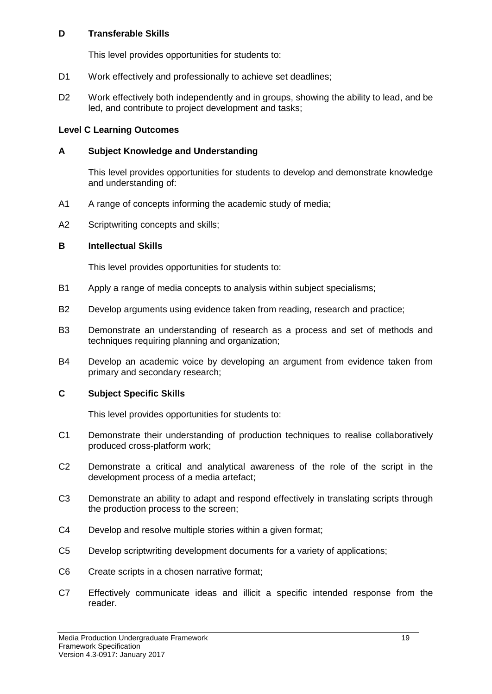This level provides opportunities for students to:

- D1 Work effectively and professionally to achieve set deadlines;
- D<sub>2</sub> Work effectively both independently and in groups, showing the ability to lead, and be led, and contribute to project development and tasks;

#### **Level C Learning Outcomes**

#### **A Subject Knowledge and Understanding**

This level provides opportunities for students to develop and demonstrate knowledge and understanding of:

- A1 A range of concepts informing the academic study of media;
- A2 Scriptwriting concepts and skills;

#### **B Intellectual Skills**

This level provides opportunities for students to:

- B1 Apply a range of media concepts to analysis within subject specialisms;
- B2 Develop arguments using evidence taken from reading, research and practice;
- B3 Demonstrate an understanding of research as a process and set of methods and techniques requiring planning and organization;
- B4 Develop an academic voice by developing an argument from evidence taken from primary and secondary research;

#### **C Subject Specific Skills**

- C1 Demonstrate their understanding of production techniques to realise collaboratively produced cross-platform work;
- C2 Demonstrate a critical and analytical awareness of the role of the script in the development process of a media artefact;
- C3 Demonstrate an ability to adapt and respond effectively in translating scripts through the production process to the screen;
- C4 Develop and resolve multiple stories within a given format;
- C5 Develop scriptwriting development documents for a variety of applications;
- C6 Create scripts in a chosen narrative format;
- C7 Effectively communicate ideas and illicit a specific intended response from the reader.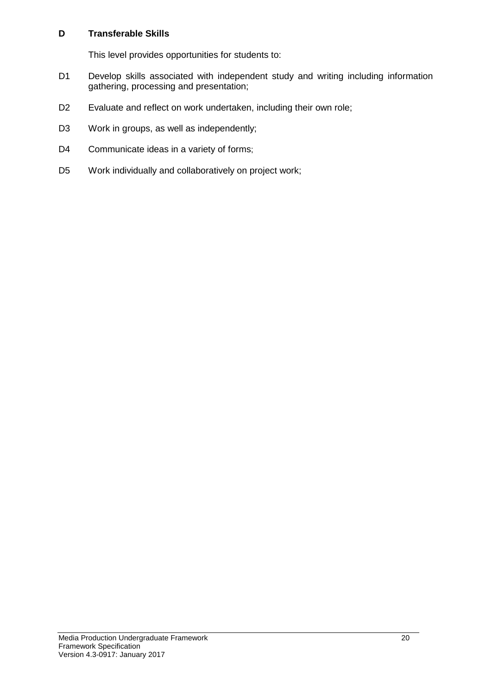- D1 Develop skills associated with independent study and writing including information gathering, processing and presentation;
- D2 Evaluate and reflect on work undertaken, including their own role;
- D3 Work in groups, as well as independently;
- D4 Communicate ideas in a variety of forms;
- D5 Work individually and collaboratively on project work;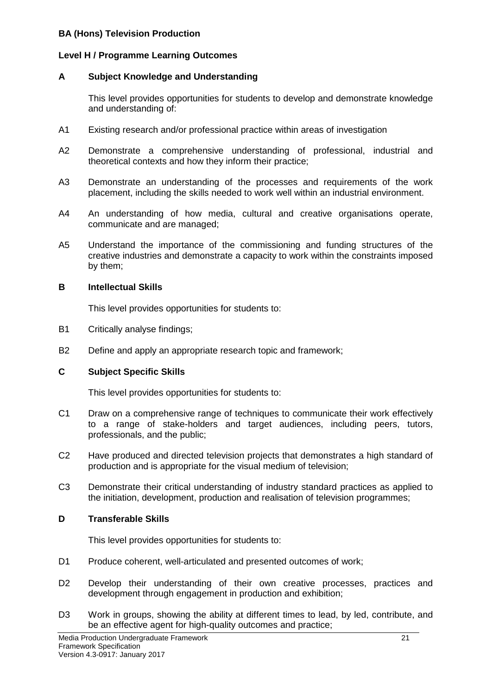#### **BA (Hons) Television Production**

#### **Level H / Programme Learning Outcomes**

#### **A Subject Knowledge and Understanding**

This level provides opportunities for students to develop and demonstrate knowledge and understanding of:

- A1 Existing research and/or professional practice within areas of investigation
- A2 Demonstrate a comprehensive understanding of professional, industrial and theoretical contexts and how they inform their practice;
- A3 Demonstrate an understanding of the processes and requirements of the work placement, including the skills needed to work well within an industrial environment.
- A4 An understanding of how media, cultural and creative organisations operate, communicate and are managed;
- A5 Understand the importance of the commissioning and funding structures of the creative industries and demonstrate a capacity to work within the constraints imposed by them;

#### **B Intellectual Skills**

This level provides opportunities for students to:

- B1 Critically analyse findings;
- B2 Define and apply an appropriate research topic and framework;

#### **C Subject Specific Skills**

This level provides opportunities for students to:

- C1 Draw on a comprehensive range of techniques to communicate their work effectively to a range of stake-holders and target audiences, including peers, tutors, professionals, and the public;
- C2 Have produced and directed television projects that demonstrates a high standard of production and is appropriate for the visual medium of television;
- C3 Demonstrate their critical understanding of industry standard practices as applied to the initiation, development, production and realisation of television programmes;

#### **D Transferable Skills**

- D1 Produce coherent, well-articulated and presented outcomes of work;
- D2 Develop their understanding of their own creative processes, practices and development through engagement in production and exhibition;
- D<sub>3</sub> Work in groups, showing the ability at different times to lead, by led, contribute, and be an effective agent for high-quality outcomes and practice;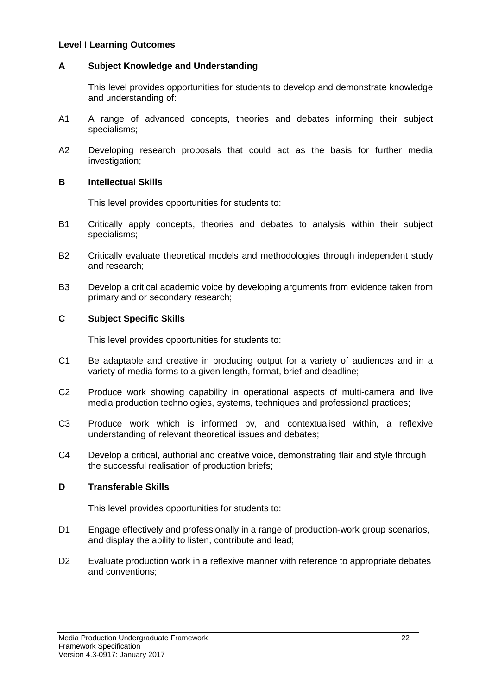#### **Level I Learning Outcomes**

#### **A Subject Knowledge and Understanding**

This level provides opportunities for students to develop and demonstrate knowledge and understanding of:

- A1 A range of advanced concepts, theories and debates informing their subject specialisms;
- A2 Developing research proposals that could act as the basis for further media investigation;

#### **B Intellectual Skills**

This level provides opportunities for students to:

- B1 Critically apply concepts, theories and debates to analysis within their subject specialisms;
- B2 Critically evaluate theoretical models and methodologies through independent study and research;
- B3 Develop a critical academic voice by developing arguments from evidence taken from primary and or secondary research;

#### **C Subject Specific Skills**

This level provides opportunities for students to:

- C1 Be adaptable and creative in producing output for a variety of audiences and in a variety of media forms to a given length, format, brief and deadline;
- C2 Produce work showing capability in operational aspects of multi-camera and live media production technologies, systems, techniques and professional practices;
- C3 Produce work which is informed by, and contextualised within, a reflexive understanding of relevant theoretical issues and debates;
- C4 Develop a critical, authorial and creative voice, demonstrating flair and style through the successful realisation of production briefs;

#### **D Transferable Skills**

- D1 Engage effectively and professionally in a range of production-work group scenarios, and display the ability to listen, contribute and lead;
- D2 Evaluate production work in a reflexive manner with reference to appropriate debates and conventions;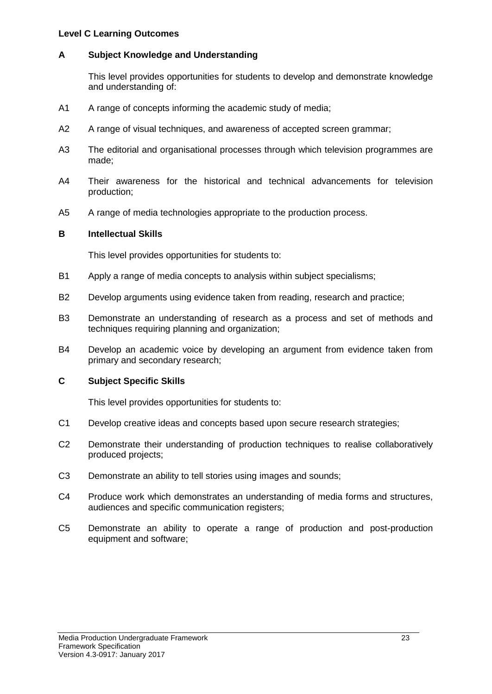#### **Level C Learning Outcomes**

#### **A Subject Knowledge and Understanding**

This level provides opportunities for students to develop and demonstrate knowledge and understanding of:

- A1 A range of concepts informing the academic study of media;
- A2 A range of visual techniques, and awareness of accepted screen grammar;
- A3 The editorial and organisational processes through which television programmes are made;
- A4 Their awareness for the historical and technical advancements for television production;
- A5 A range of media technologies appropriate to the production process.

#### **B Intellectual Skills**

This level provides opportunities for students to:

- B1 Apply a range of media concepts to analysis within subject specialisms;
- B2 Develop arguments using evidence taken from reading, research and practice;
- B3 Demonstrate an understanding of research as a process and set of methods and techniques requiring planning and organization;
- B4 Develop an academic voice by developing an argument from evidence taken from primary and secondary research;

#### **C Subject Specific Skills**

- C1 Develop creative ideas and concepts based upon secure research strategies;
- C2 Demonstrate their understanding of production techniques to realise collaboratively produced projects;
- C3 Demonstrate an ability to tell stories using images and sounds;
- C4 Produce work which demonstrates an understanding of media forms and structures, audiences and specific communication registers;
- C5 Demonstrate an ability to operate a range of production and post-production equipment and software;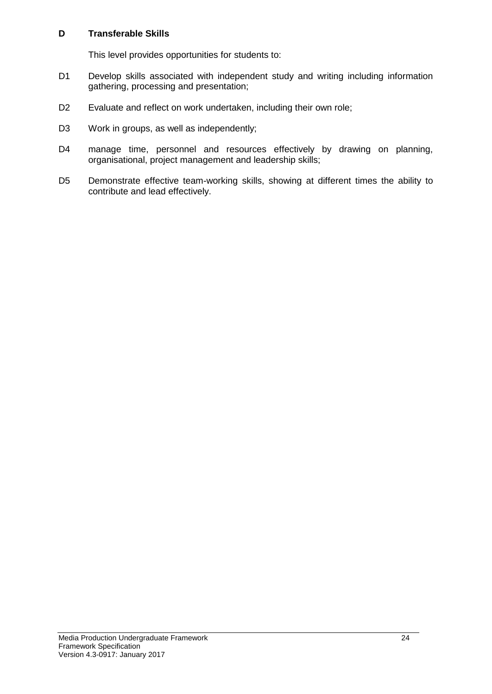- D1 Develop skills associated with independent study and writing including information gathering, processing and presentation;
- D2 Evaluate and reflect on work undertaken, including their own role;
- D3 Work in groups, as well as independently;
- D4 manage time, personnel and resources effectively by drawing on planning, organisational, project management and leadership skills;
- D5 Demonstrate effective team-working skills, showing at different times the ability to contribute and lead effectively.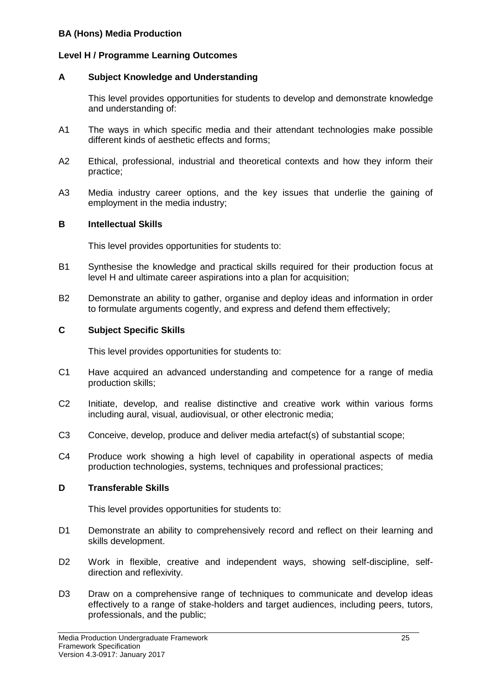#### **BA (Hons) Media Production**

#### **Level H / Programme Learning Outcomes**

#### **A Subject Knowledge and Understanding**

This level provides opportunities for students to develop and demonstrate knowledge and understanding of:

- A1 The ways in which specific media and their attendant technologies make possible different kinds of aesthetic effects and forms;
- A2 Ethical, professional, industrial and theoretical contexts and how they inform their practice;
- A3 Media industry career options, and the key issues that underlie the gaining of employment in the media industry;

#### **B Intellectual Skills**

This level provides opportunities for students to:

- B1 Synthesise the knowledge and practical skills required for their production focus at level H and ultimate career aspirations into a plan for acquisition;
- B2 Demonstrate an ability to gather, organise and deploy ideas and information in order to formulate arguments cogently, and express and defend them effectively;

#### **C Subject Specific Skills**

This level provides opportunities for students to:

- C1 Have acquired an advanced understanding and competence for a range of media production skills;
- C2 Initiate, develop, and realise distinctive and creative work within various forms including aural, visual, audiovisual, or other electronic media;
- C3 Conceive, develop, produce and deliver media artefact(s) of substantial scope;
- C4 Produce work showing a high level of capability in operational aspects of media production technologies, systems, techniques and professional practices;

#### **D Transferable Skills**

- D1 Demonstrate an ability to comprehensively record and reflect on their learning and skills development.
- D2 Work in flexible, creative and independent ways, showing self-discipline, selfdirection and reflexivity.
- D<sub>3</sub> Draw on a comprehensive range of techniques to communicate and develop ideas effectively to a range of stake-holders and target audiences, including peers, tutors, professionals, and the public;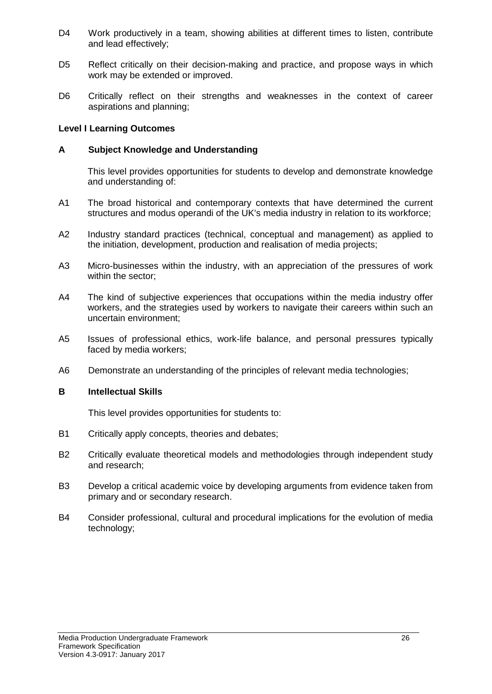- D4 Work productively in a team, showing abilities at different times to listen, contribute and lead effectively;
- D5 Reflect critically on their decision-making and practice, and propose ways in which work may be extended or improved.
- D6 Critically reflect on their strengths and weaknesses in the context of career aspirations and planning;

#### **Level I Learning Outcomes**

#### **A Subject Knowledge and Understanding**

This level provides opportunities for students to develop and demonstrate knowledge and understanding of:

- A1 The broad historical and contemporary contexts that have determined the current structures and modus operandi of the UK's media industry in relation to its workforce;
- A2 Industry standard practices (technical, conceptual and management) as applied to the initiation, development, production and realisation of media projects;
- A3 Micro-businesses within the industry, with an appreciation of the pressures of work within the sector;
- A4 The kind of subjective experiences that occupations within the media industry offer workers, and the strategies used by workers to navigate their careers within such an uncertain environment;
- A5 Issues of professional ethics, work-life balance, and personal pressures typically faced by media workers;
- A6 Demonstrate an understanding of the principles of relevant media technologies;

#### **B Intellectual Skills**

- B1 Critically apply concepts, theories and debates;
- B2 Critically evaluate theoretical models and methodologies through independent study and research;
- B3 Develop a critical academic voice by developing arguments from evidence taken from primary and or secondary research.
- B4 Consider professional, cultural and procedural implications for the evolution of media technology;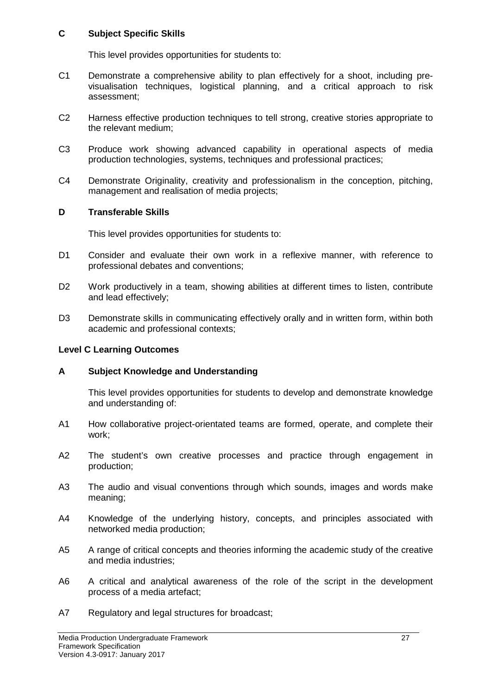#### **C Subject Specific Skills**

This level provides opportunities for students to:

- C1 Demonstrate a comprehensive ability to plan effectively for a shoot, including previsualisation techniques, logistical planning, and a critical approach to risk assessment;
- C2 Harness effective production techniques to tell strong, creative stories appropriate to the relevant medium;
- C3 Produce work showing advanced capability in operational aspects of media production technologies, systems, techniques and professional practices;
- C4 Demonstrate Originality, creativity and professionalism in the conception, pitching, management and realisation of media projects;

#### **D Transferable Skills**

This level provides opportunities for students to:

- D1 Consider and evaluate their own work in a reflexive manner, with reference to professional debates and conventions;
- D2 Work productively in a team, showing abilities at different times to listen, contribute and lead effectively;
- D3 Demonstrate skills in communicating effectively orally and in written form, within both academic and professional contexts;

#### **Level C Learning Outcomes**

#### **A Subject Knowledge and Understanding**

This level provides opportunities for students to develop and demonstrate knowledge and understanding of:

- A1 How collaborative project-orientated teams are formed, operate, and complete their work;
- A2 The student's own creative processes and practice through engagement in production;
- A3 The audio and visual conventions through which sounds, images and words make meaning;
- A4 Knowledge of the underlying history, concepts, and principles associated with networked media production;
- A5 A range of critical concepts and theories informing the academic study of the creative and media industries;
- A6 A critical and analytical awareness of the role of the script in the development process of a media artefact;
- A7 Regulatory and legal structures for broadcast;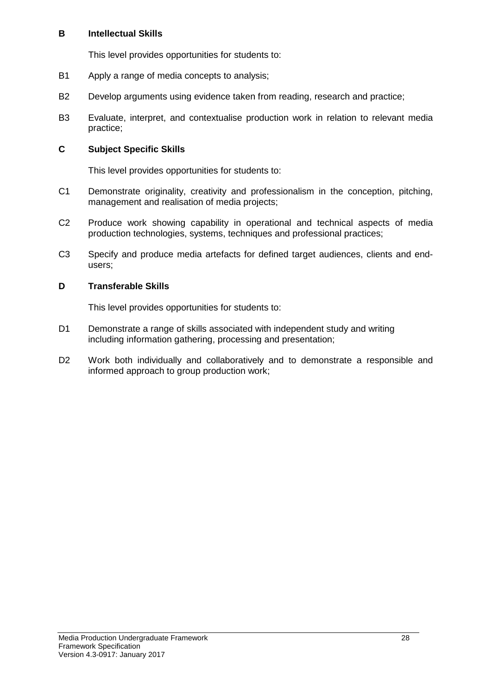#### **B Intellectual Skills**

This level provides opportunities for students to:

- B1 Apply a range of media concepts to analysis;
- B2 Develop arguments using evidence taken from reading, research and practice;
- B3 Evaluate, interpret, and contextualise production work in relation to relevant media practice;

#### **C Subject Specific Skills**

This level provides opportunities for students to:

- C1 Demonstrate originality, creativity and professionalism in the conception, pitching, management and realisation of media projects;
- C2 Produce work showing capability in operational and technical aspects of media production technologies, systems, techniques and professional practices;
- C3 Specify and produce media artefacts for defined target audiences, clients and endusers;

#### **D Transferable Skills**

- D1 Demonstrate a range of skills associated with independent study and writing including information gathering, processing and presentation;
- D2 Work both individually and collaboratively and to demonstrate a responsible and informed approach to group production work;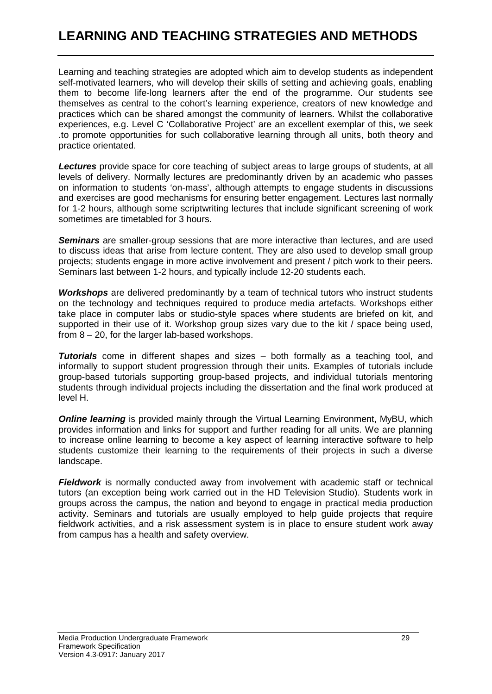# **LEARNING AND TEACHING STRATEGIES AND METHODS**

Learning and teaching strategies are adopted which aim to develop students as independent self-motivated learners, who will develop their skills of setting and achieving goals, enabling them to become life-long learners after the end of the programme. Our students see themselves as central to the cohort's learning experience, creators of new knowledge and practices which can be shared amongst the community of learners. Whilst the collaborative experiences, e.g. Level C 'Collaborative Project' are an excellent exemplar of this, we seek .to promote opportunities for such collaborative learning through all units, both theory and practice orientated.

*Lectures* provide space for core teaching of subject areas to large groups of students, at all levels of delivery. Normally lectures are predominantly driven by an academic who passes on information to students 'on-mass', although attempts to engage students in discussions and exercises are good mechanisms for ensuring better engagement. Lectures last normally for 1-2 hours, although some scriptwriting lectures that include significant screening of work sometimes are timetabled for 3 hours.

*Seminars* are smaller-group sessions that are more interactive than lectures, and are used to discuss ideas that arise from lecture content. They are also used to develop small group projects; students engage in more active involvement and present / pitch work to their peers. Seminars last between 1-2 hours, and typically include 12-20 students each.

*Workshops* are delivered predominantly by a team of technical tutors who instruct students on the technology and techniques required to produce media artefacts. Workshops either take place in computer labs or studio-style spaces where students are briefed on kit, and supported in their use of it. Workshop group sizes vary due to the kit / space being used, from 8 – 20, for the larger lab-based workshops.

*Tutorials* come in different shapes and sizes – both formally as a teaching tool, and informally to support student progression through their units. Examples of tutorials include group-based tutorials supporting group-based projects, and individual tutorials mentoring students through individual projects including the dissertation and the final work produced at level H.

**Online learning** is provided mainly through the Virtual Learning Environment, MvBU, which provides information and links for support and further reading for all units. We are planning to increase online learning to become a key aspect of learning interactive software to help students customize their learning to the requirements of their projects in such a diverse landscape.

*Fieldwork* is normally conducted away from involvement with academic staff or technical tutors (an exception being work carried out in the HD Television Studio). Students work in groups across the campus, the nation and beyond to engage in practical media production activity. Seminars and tutorials are usually employed to help guide projects that require fieldwork activities, and a risk assessment system is in place to ensure student work away from campus has a health and safety overview.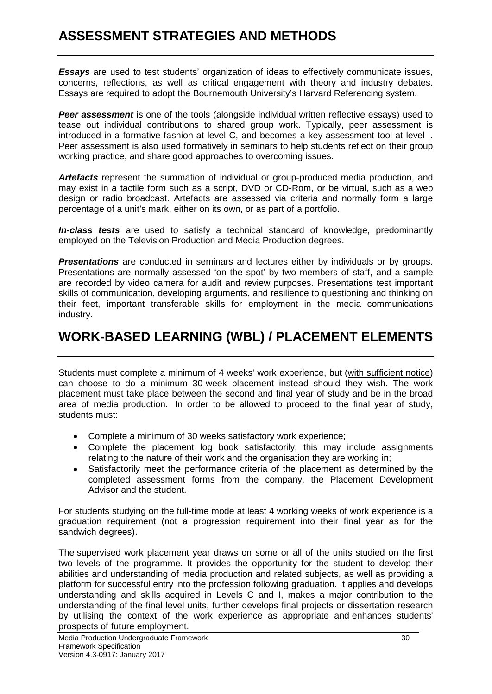*Essays* are used to test students' organization of ideas to effectively communicate issues, concerns, reflections, as well as critical engagement with theory and industry debates. Essays are required to adopt the Bournemouth University's Harvard Referencing system.

**Peer assessment** is one of the tools (alongside individual written reflective essays) used to tease out individual contributions to shared group work. Typically, peer assessment is introduced in a formative fashion at level C, and becomes a key assessment tool at level I. Peer assessment is also used formatively in seminars to help students reflect on their group working practice, and share good approaches to overcoming issues.

*Artefacts* represent the summation of individual or group-produced media production, and may exist in a tactile form such as a script, DVD or CD-Rom, or be virtual, such as a web design or radio broadcast. Artefacts are assessed via criteria and normally form a large percentage of a unit's mark, either on its own, or as part of a portfolio.

*In-class tests* are used to satisfy a technical standard of knowledge, predominantly employed on the Television Production and Media Production degrees.

*Presentations* are conducted in seminars and lectures either by individuals or by groups. Presentations are normally assessed 'on the spot' by two members of staff, and a sample are recorded by video camera for audit and review purposes. Presentations test important skills of communication, developing arguments, and resilience to questioning and thinking on their feet, important transferable skills for employment in the media communications industry.

## **WORK-BASED LEARNING (WBL) / PLACEMENT ELEMENTS**

Students must complete a minimum of 4 weeks' work experience, but (with sufficient notice) can choose to do a minimum 30-week placement instead should they wish. The work placement must take place between the second and final year of study and be in the broad area of media production. In order to be allowed to proceed to the final year of study, students must:

- Complete a minimum of 30 weeks satisfactory work experience;
- Complete the placement log book satisfactorily; this may include assignments relating to the nature of their work and the organisation they are working in;
- Satisfactorily meet the performance criteria of the placement as determined by the completed assessment forms from the company, the Placement Development Advisor and the student.

For students studying on the full-time mode at least 4 working weeks of work experience is a graduation requirement (not a progression requirement into their final year as for the sandwich degrees).

The supervised work placement year draws on some or all of the units studied on the first two levels of the programme. It provides the opportunity for the student to develop their abilities and understanding of media production and related subjects, as well as providing a platform for successful entry into the profession following graduation. It applies and develops understanding and skills acquired in Levels C and I, makes a major contribution to the understanding of the final level units, further develops final projects or dissertation research by utilising the context of the work experience as appropriate and enhances students' prospects of future employment.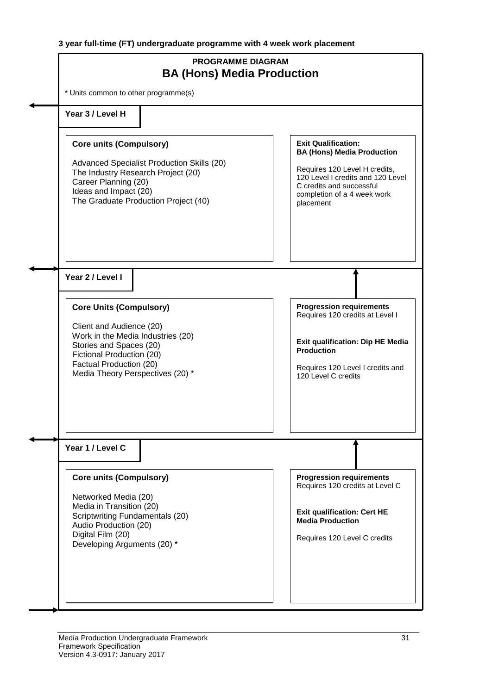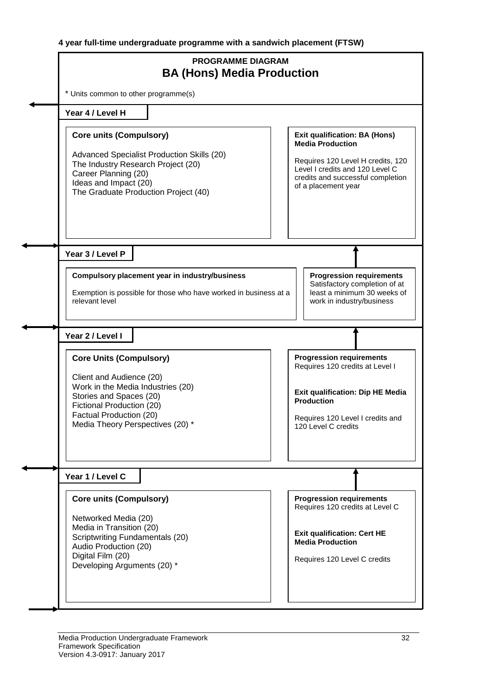|                                                                                                                                                                                                                        | <b>PROGRAMME DIAGRAM</b><br><b>BA (Hons) Media Production</b>    |                                                                                                                                                                                                     |
|------------------------------------------------------------------------------------------------------------------------------------------------------------------------------------------------------------------------|------------------------------------------------------------------|-----------------------------------------------------------------------------------------------------------------------------------------------------------------------------------------------------|
| * Units common to other programme(s)                                                                                                                                                                                   |                                                                  |                                                                                                                                                                                                     |
| Year 4 / Level H                                                                                                                                                                                                       |                                                                  |                                                                                                                                                                                                     |
| <b>Core units (Compulsory)</b><br>Advanced Specialist Production Skills (20)<br>The Industry Research Project (20)<br>Career Planning (20)<br>Ideas and Impact (20)<br>The Graduate Production Project (40)            |                                                                  | <b>Exit qualification: BA (Hons)</b><br><b>Media Production</b><br>Requires 120 Level H credits, 120<br>Level I credits and 120 Level C<br>credits and successful completion<br>of a placement year |
| Year 3 / Level P<br>Compulsory placement year in industry/business<br>relevant level                                                                                                                                   | Exemption is possible for those who have worked in business at a | <b>Progression requirements</b><br>Satisfactory completion of at<br>least a minimum 30 weeks of<br>work in industry/business                                                                        |
| Year 2 / Level I                                                                                                                                                                                                       |                                                                  |                                                                                                                                                                                                     |
| <b>Core Units (Compulsory)</b><br>Client and Audience (20)<br>Work in the Media Industries (20)<br>Stories and Spaces (20)<br>Fictional Production (20)<br>Factual Production (20)<br>Media Theory Perspectives (20) * |                                                                  | <b>Progression requirements</b><br>Requires 120 credits at Level I<br><b>Exit qualification: Dip HE Media</b><br><b>Production</b><br>Requires 120 Level I credits and<br>120 Level C credits       |
| Year 1 / Level C                                                                                                                                                                                                       |                                                                  |                                                                                                                                                                                                     |
| <b>Core units (Compulsory)</b><br>Networked Media (20)<br>Media in Transition (20)<br>Scriptwriting Fundamentals (20)<br>Audio Production (20)<br>Digital Film (20)<br>Developing Arguments (20) *                     |                                                                  | <b>Progression requirements</b><br>Requires 120 credits at Level C<br><b>Exit qualification: Cert HE</b><br><b>Media Production</b><br>Requires 120 Level C credits                                 |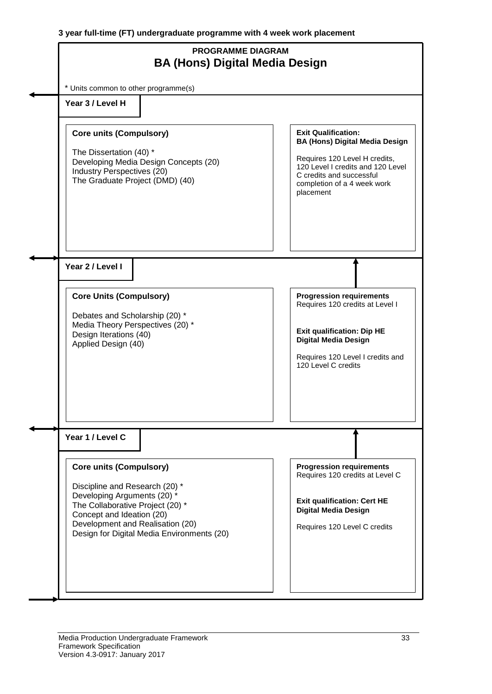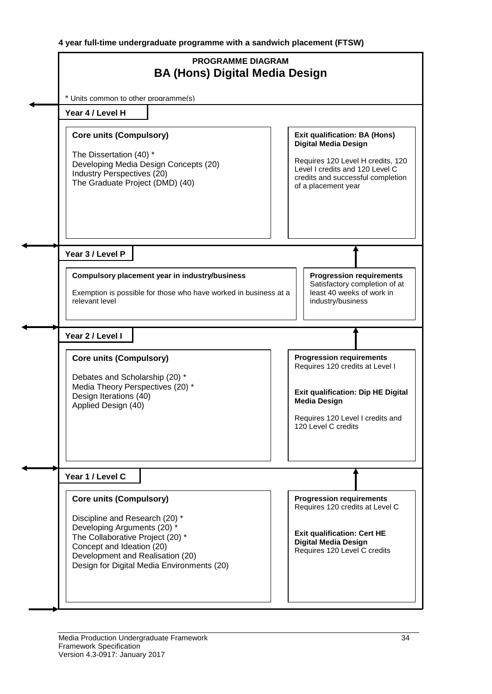**4 year full-time undergraduate programme with a sandwich placement (FTSW)**

| <b>PROGRAMME DIAGRAM</b><br><b>BA (Hons) Digital Media Design</b>                                                                                                                                                                                  |                                                                                                                                                                                                         |
|----------------------------------------------------------------------------------------------------------------------------------------------------------------------------------------------------------------------------------------------------|---------------------------------------------------------------------------------------------------------------------------------------------------------------------------------------------------------|
| * Units common to other programme(s)                                                                                                                                                                                                               |                                                                                                                                                                                                         |
| Year 4 / Level H                                                                                                                                                                                                                                   |                                                                                                                                                                                                         |
| <b>Core units (Compulsory)</b><br>The Dissertation (40) *<br>Developing Media Design Concepts (20)<br>Industry Perspectives (20)<br>The Graduate Project (DMD) (40)                                                                                | <b>Exit qualification: BA (Hons)</b><br><b>Digital Media Design</b><br>Requires 120 Level H credits, 120<br>Level I credits and 120 Level C<br>credits and successful completion<br>of a placement year |
| Year 3 / Level P                                                                                                                                                                                                                                   |                                                                                                                                                                                                         |
| Compulsory placement year in industry/business<br>Exemption is possible for those who have worked in business at a<br>relevant level                                                                                                               | <b>Progression requirements</b><br>Satisfactory completion of at<br>least 40 weeks of work in<br>industry/business                                                                                      |
| Year 2 / Level I                                                                                                                                                                                                                                   |                                                                                                                                                                                                         |
| <b>Core units (Compulsory)</b><br>Debates and Scholarship (20) *<br>Media Theory Perspectives (20) *<br>Design Iterations (40)<br>Applied Design (40)                                                                                              | <b>Progression requirements</b><br>Requires 120 credits at Level I<br><b>Exit qualification: Dip HE Digital</b><br><b>Media Design</b><br>Requires 120 Level I credits and                              |
|                                                                                                                                                                                                                                                    | 120 Level C credits                                                                                                                                                                                     |
| Year 1 / Level C                                                                                                                                                                                                                                   |                                                                                                                                                                                                         |
| <b>Core units (Compulsory)</b><br>Discipline and Research (20) *<br>Developing Arguments (20) *<br>The Collaborative Project (20) *<br>Concept and Ideation (20)<br>Development and Realisation (20)<br>Design for Digital Media Environments (20) | <b>Progression requirements</b><br>Requires 120 credits at Level C<br><b>Exit qualification: Cert HE</b><br><b>Digital Media Design</b><br>Requires 120 Level C credits                                 |
|                                                                                                                                                                                                                                                    |                                                                                                                                                                                                         |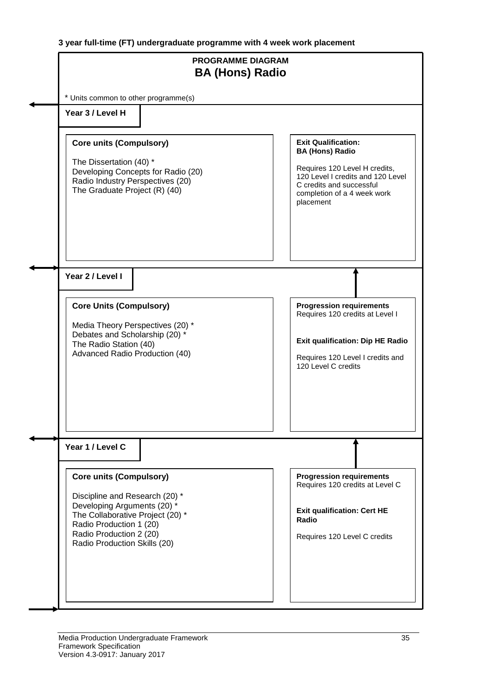**3 year full-time (FT) undergraduate programme with 4 week work placement**

| <b>PROGRAMME DIAGRAM</b><br><b>BA (Hons) Radio</b>                                                                                                                                                                        |                                                                                                                                                                                                    |
|---------------------------------------------------------------------------------------------------------------------------------------------------------------------------------------------------------------------------|----------------------------------------------------------------------------------------------------------------------------------------------------------------------------------------------------|
| * Units common to other programme(s)                                                                                                                                                                                      |                                                                                                                                                                                                    |
| Year 3 / Level H                                                                                                                                                                                                          |                                                                                                                                                                                                    |
| <b>Core units (Compulsory)</b><br>The Dissertation (40) *<br>Developing Concepts for Radio (20)<br>Radio Industry Perspectives (20)<br>The Graduate Project (R) (40)                                                      | <b>Exit Qualification:</b><br><b>BA (Hons) Radio</b><br>Requires 120 Level H credits,<br>120 Level I credits and 120 Level<br>C credits and successful<br>completion of a 4 week work<br>placement |
| Year 2 / Level I                                                                                                                                                                                                          |                                                                                                                                                                                                    |
| <b>Core Units (Compulsory)</b><br>Media Theory Perspectives (20) *<br>Debates and Scholarship (20) *<br>The Radio Station (40)<br>Advanced Radio Production (40)                                                          | <b>Progression requirements</b><br>Requires 120 credits at Level I<br><b>Exit qualification: Dip HE Radio</b><br>Requires 120 Level I credits and<br>120 Level C credits                           |
| Year 1 / Level C                                                                                                                                                                                                          |                                                                                                                                                                                                    |
| <b>Core units (Compulsory)</b><br>Discipline and Research (20) *<br>Developing Arguments (20) *<br>The Collaborative Project (20) *<br>Radio Production 1 (20)<br>Radio Production 2 (20)<br>Radio Production Skills (20) | <b>Progression requirements</b><br>Requires 120 credits at Level C<br><b>Exit qualification: Cert HE</b><br>Radio<br>Requires 120 Level C credits                                                  |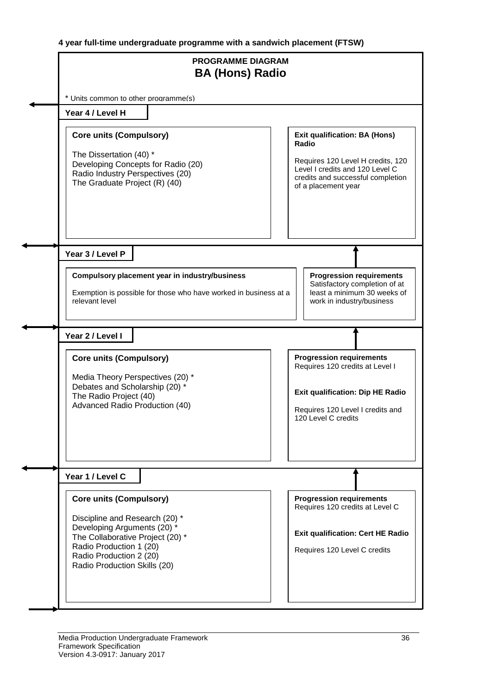**4 year full-time undergraduate programme with a sandwich placement (FTSW)**

| <b>PROGRAMME DIAGRAM</b><br><b>BA (Hons) Radio</b>                                                                                                                                      |                                                                                                                                                                          |
|-----------------------------------------------------------------------------------------------------------------------------------------------------------------------------------------|--------------------------------------------------------------------------------------------------------------------------------------------------------------------------|
| * Units common to other programme(s)                                                                                                                                                    |                                                                                                                                                                          |
| Year 4 / Level H                                                                                                                                                                        |                                                                                                                                                                          |
| <b>Core units (Compulsory)</b><br>The Dissertation (40) *                                                                                                                               | <b>Exit qualification: BA (Hons)</b><br>Radio                                                                                                                            |
| Developing Concepts for Radio (20)<br>Radio Industry Perspectives (20)<br>The Graduate Project (R) (40)                                                                                 | Requires 120 Level H credits, 120<br>Level I credits and 120 Level C<br>credits and successful completion<br>of a placement year                                         |
| Year 3 / Level P                                                                                                                                                                        |                                                                                                                                                                          |
| Compulsory placement year in industry/business<br>Exemption is possible for those who have worked in business at a<br>relevant level                                                    | <b>Progression requirements</b><br>Satisfactory completion of at<br>least a minimum 30 weeks of<br>work in industry/business                                             |
| Year 2 / Level I                                                                                                                                                                        |                                                                                                                                                                          |
| <b>Core units (Compulsory)</b><br>Media Theory Perspectives (20) *<br>Debates and Scholarship (20) *<br>The Radio Project (40)<br>Advanced Radio Production (40)                        | <b>Progression requirements</b><br>Requires 120 credits at Level I<br><b>Exit qualification: Dip HE Radio</b><br>Requires 120 Level I credits and<br>120 Level C credits |
| Year 1 / Level C                                                                                                                                                                        |                                                                                                                                                                          |
| <b>Core units (Compulsory)</b>                                                                                                                                                          | <b>Progression requirements</b><br>Requires 120 credits at Level C                                                                                                       |
| Discipline and Research (20) *<br>Developing Arguments (20) *<br>The Collaborative Project (20) *<br>Radio Production 1 (20)<br>Radio Production 2 (20)<br>Radio Production Skills (20) | <b>Exit qualification: Cert HE Radio</b><br>Requires 120 Level C credits                                                                                                 |
|                                                                                                                                                                                         |                                                                                                                                                                          |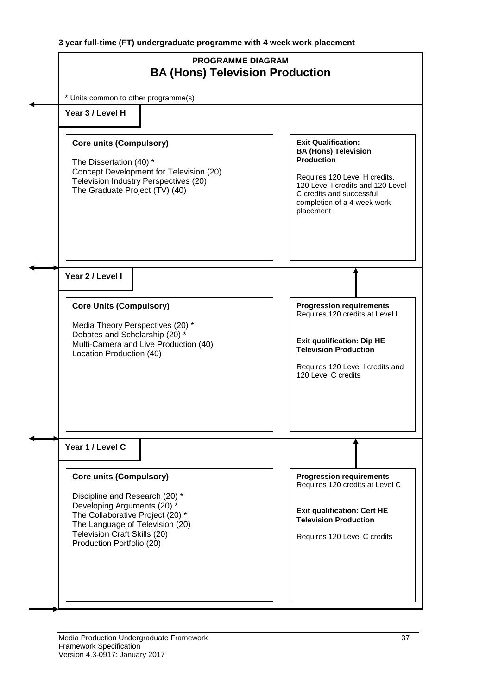| <b>PROGRAMME DIAGRAM</b><br><b>BA (Hons) Television Production</b>                                                                                                                                                                  |                                                                                                                                                                                                                              |
|-------------------------------------------------------------------------------------------------------------------------------------------------------------------------------------------------------------------------------------|------------------------------------------------------------------------------------------------------------------------------------------------------------------------------------------------------------------------------|
| * Units common to other programme(s)<br>Year 3 / Level H                                                                                                                                                                            |                                                                                                                                                                                                                              |
| <b>Core units (Compulsory)</b><br>The Dissertation (40) *<br>Concept Development for Television (20)<br>Television Industry Perspectives (20)<br>The Graduate Project (TV) (40)                                                     | <b>Exit Qualification:</b><br><b>BA (Hons) Television</b><br><b>Production</b><br>Requires 120 Level H credits,<br>120 Level I credits and 120 Level<br>C credits and successful<br>completion of a 4 week work<br>placement |
| Year 2 / Level I<br><b>Core Units (Compulsory)</b><br>Media Theory Perspectives (20) *<br>Debates and Scholarship (20) *<br>Multi-Camera and Live Production (40)<br>Location Production (40)                                       | <b>Progression requirements</b><br>Requires 120 credits at Level I<br><b>Exit qualification: Dip HE</b><br><b>Television Production</b><br>Requires 120 Level I credits and<br>120 Level C credits                           |
| Year 1 / Level C                                                                                                                                                                                                                    |                                                                                                                                                                                                                              |
| <b>Core units (Compulsory)</b><br>Discipline and Research (20) *<br>Developing Arguments (20) *<br>The Collaborative Project (20) *<br>The Language of Television (20)<br>Television Craft Skills (20)<br>Production Portfolio (20) | <b>Progression requirements</b><br>Requires 120 credits at Level C<br><b>Exit qualification: Cert HE</b><br><b>Television Production</b><br>Requires 120 Level C credits                                                     |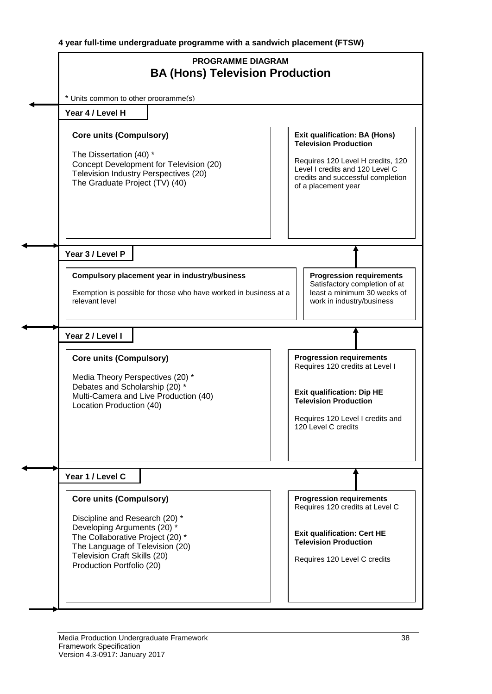| <b>PROGRAMME DIAGRAM</b><br><b>BA (Hons) Television Production</b>                                                                                                                                                                  |                                                                                                                                                                                                          |  |  |  |  |  |  |  |  |  |  |  |  |
|-------------------------------------------------------------------------------------------------------------------------------------------------------------------------------------------------------------------------------------|----------------------------------------------------------------------------------------------------------------------------------------------------------------------------------------------------------|--|--|--|--|--|--|--|--|--|--|--|--|
| * Units common to other programme(s)                                                                                                                                                                                                |                                                                                                                                                                                                          |  |  |  |  |  |  |  |  |  |  |  |  |
| Year 4 / Level H                                                                                                                                                                                                                    |                                                                                                                                                                                                          |  |  |  |  |  |  |  |  |  |  |  |  |
| <b>Core units (Compulsory)</b><br>The Dissertation (40) *<br>Concept Development for Television (20)<br>Television Industry Perspectives (20)<br>The Graduate Project (TV) (40)                                                     | <b>Exit qualification: BA (Hons)</b><br><b>Television Production</b><br>Requires 120 Level H credits, 120<br>Level I credits and 120 Level C<br>credits and successful completion<br>of a placement year |  |  |  |  |  |  |  |  |  |  |  |  |
| Year 3 / Level P<br>Compulsory placement year in industry/business<br>Exemption is possible for those who have worked in business at a<br>relevant level                                                                            | <b>Progression requirements</b><br>Satisfactory completion of at<br>least a minimum 30 weeks of<br>work in industry/business                                                                             |  |  |  |  |  |  |  |  |  |  |  |  |
| Year 2 / Level I                                                                                                                                                                                                                    |                                                                                                                                                                                                          |  |  |  |  |  |  |  |  |  |  |  |  |
| <b>Core units (Compulsory)</b><br>Media Theory Perspectives (20) *<br>Debates and Scholarship (20) *<br>Multi-Camera and Live Production (40)<br>Location Production (40)                                                           | <b>Progression requirements</b><br>Requires 120 credits at Level I<br><b>Exit qualification: Dip HE</b><br><b>Television Production</b><br>Requires 120 Level I credits and<br>120 Level C credits       |  |  |  |  |  |  |  |  |  |  |  |  |
| Year 1 / Level C                                                                                                                                                                                                                    |                                                                                                                                                                                                          |  |  |  |  |  |  |  |  |  |  |  |  |
| <b>Core units (Compulsory)</b><br>Discipline and Research (20) *<br>Developing Arguments (20) *<br>The Collaborative Project (20) *<br>The Language of Television (20)<br>Television Craft Skills (20)<br>Production Portfolio (20) | <b>Progression requirements</b><br>Requires 120 credits at Level C<br><b>Exit qualification: Cert HE</b><br><b>Television Production</b><br>Requires 120 Level C credits                                 |  |  |  |  |  |  |  |  |  |  |  |  |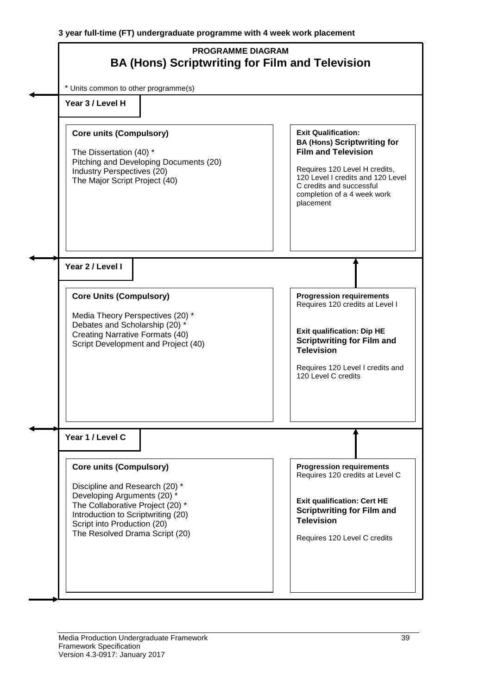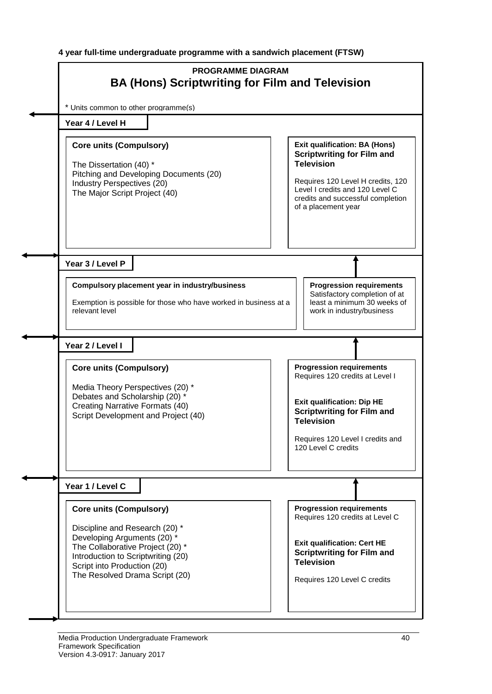**4 year full-time undergraduate programme with a sandwich placement (FTSW)**

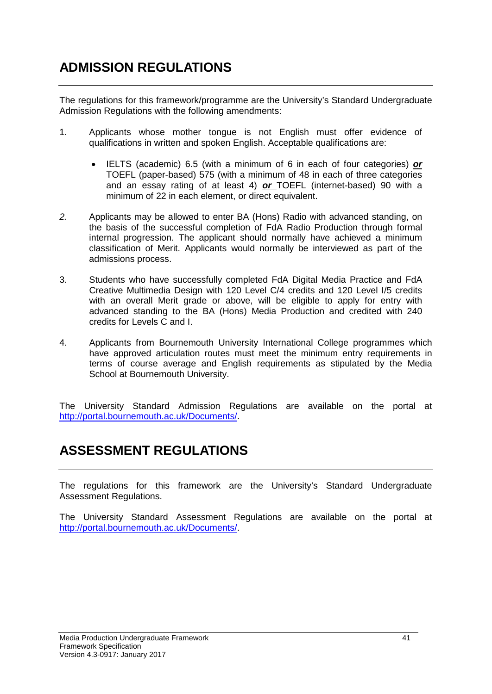The regulations for this framework/programme are the University's Standard Undergraduate Admission Regulations with the following amendments:

- 1. Applicants whose mother tongue is not English must offer evidence of qualifications in written and spoken English. Acceptable qualifications are:
	- IELTS (academic) 6.5 (with a minimum of 6 in each of four categories) *or* TOEFL (paper-based) 575 (with a minimum of 48 in each of three categories and an essay rating of at least 4) *or* TOEFL (internet-based) 90 with a minimum of 22 in each element, or direct equivalent.
- *2.* Applicants may be allowed to enter BA (Hons) Radio with advanced standing, on the basis of the successful completion of FdA Radio Production through formal internal progression. The applicant should normally have achieved a minimum classification of Merit. Applicants would normally be interviewed as part of the admissions process.
- 3. Students who have successfully completed FdA Digital Media Practice and FdA Creative Multimedia Design with 120 Level C/4 credits and 120 Level I/5 credits with an overall Merit grade or above, will be eligible to apply for entry with advanced standing to the BA (Hons) Media Production and credited with 240 credits for Levels C and I.
- 4. Applicants from Bournemouth University International College programmes which have approved articulation routes must meet the minimum entry requirements in terms of course average and English requirements as stipulated by the Media School at Bournemouth University.

The University Standard Admission Regulations are available on the portal at http://portal.bournemouth.ac.uk/Documents/.

### **ASSESSMENT REGULATIONS**

The regulations for this framework are the University's Standard Undergraduate Assessment Regulations.

The University Standard Assessment Regulations are available on the portal at http://portal.bournemouth.ac.uk/Documents/.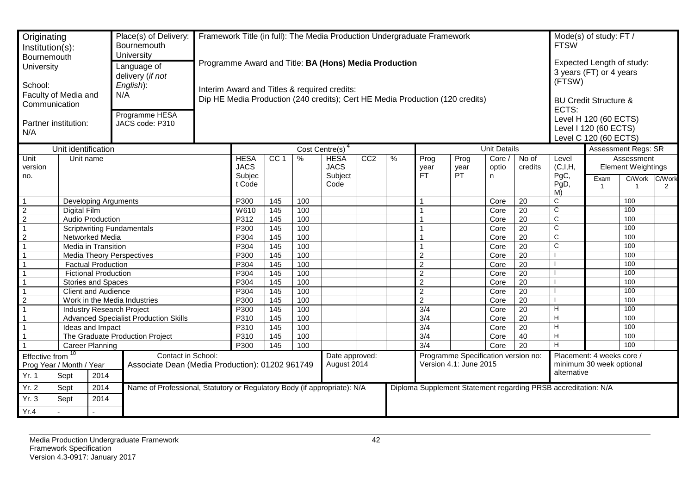| Originating<br>Institution(s):<br>Bournemouth<br>University<br>School:<br>Communication<br>N/A                                                    | Faculty of Media and<br>Partner institution: |                                   | Place(s) of Delivery:<br>Bournemouth<br>University<br>Language of<br>delivery (if not<br>English):<br>N/A<br>Programme HESA<br>JACS code: P310 | Framework Title (in full): The Media Production Undergraduate Framework<br>Programme Award and Title: BA (Hons) Media Production<br>Interim Award and Titles & required credits:<br>Dip HE Media Production (240 credits); Cert HE Media Production (120 credits) |                 |                   |                                                                              |     |                                                               |                     |                                      | <b>FTSW</b><br>(FTSW)<br>ECTS:                                 | Mode(s) of study: FT /<br>Expected Length of study:<br>3 years (FT) or 4 years<br><b>BU Credit Structure &amp;</b><br>Level H 120 (60 ECTS)<br>Level I 120 (60 ECTS)<br>Level C 120 (60 ECTS) |                                        |                        |                                                                                                 |                            |
|---------------------------------------------------------------------------------------------------------------------------------------------------|----------------------------------------------|-----------------------------------|------------------------------------------------------------------------------------------------------------------------------------------------|-------------------------------------------------------------------------------------------------------------------------------------------------------------------------------------------------------------------------------------------------------------------|-----------------|-------------------|------------------------------------------------------------------------------|-----|---------------------------------------------------------------|---------------------|--------------------------------------|----------------------------------------------------------------|-----------------------------------------------------------------------------------------------------------------------------------------------------------------------------------------------|----------------------------------------|------------------------|-------------------------------------------------------------------------------------------------|----------------------------|
|                                                                                                                                                   |                                              |                                   |                                                                                                                                                |                                                                                                                                                                                                                                                                   |                 |                   |                                                                              |     |                                                               |                     |                                      |                                                                | <b>Unit Details</b>                                                                                                                                                                           |                                        |                        |                                                                                                 | <b>Assessment Regs: SR</b> |
| Unit identification<br>Unit name<br>Unit<br>version<br>no.                                                                                        |                                              |                                   |                                                                                                                                                | <b>HESA</b><br><b>JACS</b><br>Subjec<br>t Code                                                                                                                                                                                                                    | CC <sub>1</sub> | %                 | Cost Centre(s) <sup>4</sup><br><b>HESA</b><br><b>JACS</b><br>Subject<br>Code | CC2 | $\%$                                                          | Prog<br>year<br>FT. | Prog<br>year<br>PT.                  | Core /<br>optio<br>n                                           | No of<br>credits                                                                                                                                                                              | Level<br>(C,I,H,<br>PgC,<br>PgD,<br>M) | Exam<br>$\overline{1}$ | Assessment<br><b>Element Weightings</b><br>C/Work<br>C/Work<br>$\overline{1}$<br>$\overline{2}$ |                            |
| $\overline{1}$                                                                                                                                    |                                              | Developing Arguments              |                                                                                                                                                |                                                                                                                                                                                                                                                                   | P300            | 145               | 100                                                                          |     |                                                               |                     | 1                                    |                                                                | Core                                                                                                                                                                                          | 20                                     | C                      |                                                                                                 | 100                        |
| $\overline{2}$                                                                                                                                    | <b>Digital Film</b>                          |                                   |                                                                                                                                                |                                                                                                                                                                                                                                                                   | W610            | 145               | 100                                                                          |     |                                                               |                     |                                      |                                                                | Core                                                                                                                                                                                          | $\overline{20}$                        | $\overline{c}$         |                                                                                                 | 100                        |
| $\overline{2}$                                                                                                                                    |                                              | <b>Audio Production</b>           |                                                                                                                                                |                                                                                                                                                                                                                                                                   | P312            | 145               | 100                                                                          |     |                                                               |                     |                                      |                                                                | Core                                                                                                                                                                                          | $\overline{20}$                        | $\mathsf{C}$           |                                                                                                 | 100                        |
| $\overline{1}$                                                                                                                                    |                                              | <b>Scriptwriting Fundamentals</b> |                                                                                                                                                |                                                                                                                                                                                                                                                                   | P300            | 145               | 100                                                                          |     |                                                               |                     |                                      |                                                                | Core                                                                                                                                                                                          | $\overline{20}$                        | $\mathsf C$            |                                                                                                 | 100                        |
| $\overline{2}$                                                                                                                                    |                                              | Networked Media                   |                                                                                                                                                |                                                                                                                                                                                                                                                                   | P304            | 145               | 100                                                                          |     |                                                               |                     | 1                                    |                                                                | Core                                                                                                                                                                                          | $\overline{20}$                        | C                      |                                                                                                 | 100                        |
| $\overline{1}$                                                                                                                                    |                                              | Media in Transition               |                                                                                                                                                |                                                                                                                                                                                                                                                                   | P304            | 145               | 100                                                                          |     |                                                               |                     |                                      |                                                                | Core                                                                                                                                                                                          | $\overline{20}$                        | $\overline{\text{c}}$  |                                                                                                 | 100                        |
| $\overline{1}$                                                                                                                                    |                                              | <b>Media Theory Perspectives</b>  |                                                                                                                                                |                                                                                                                                                                                                                                                                   | P300            | $\frac{145}{ }$   | 100                                                                          |     |                                                               |                     | $\overline{c}$                       |                                                                | Core                                                                                                                                                                                          | $\overline{20}$                        |                        |                                                                                                 | 100                        |
| $\overline{1}$                                                                                                                                    |                                              | <b>Factual Production</b>         |                                                                                                                                                |                                                                                                                                                                                                                                                                   | P304            | $\overline{145}$  | 100                                                                          |     |                                                               |                     | $\overline{2}$                       |                                                                | Core                                                                                                                                                                                          | $\overline{20}$                        |                        |                                                                                                 | 100                        |
| $\overline{1}$                                                                                                                                    |                                              | <b>Fictional Production</b>       |                                                                                                                                                |                                                                                                                                                                                                                                                                   | P304            | $\frac{145}{ }$   | 100                                                                          |     |                                                               |                     | $\overline{2}$                       |                                                                | Core                                                                                                                                                                                          | $\overline{20}$                        |                        |                                                                                                 | 100                        |
| $\overline{1}$                                                                                                                                    |                                              | <b>Stories and Spaces</b>         |                                                                                                                                                |                                                                                                                                                                                                                                                                   | P304            | 145               | 100                                                                          |     |                                                               |                     | $\overline{2}$                       |                                                                | Core                                                                                                                                                                                          | 20                                     |                        |                                                                                                 | 100                        |
| $\overline{1}$                                                                                                                                    |                                              | <b>Client and Audience</b>        |                                                                                                                                                |                                                                                                                                                                                                                                                                   | P304            | 145               | 100                                                                          |     |                                                               |                     | $\overline{2}$                       |                                                                | Core                                                                                                                                                                                          | $\overline{20}$                        |                        |                                                                                                 | 100                        |
| $\overline{2}$                                                                                                                                    |                                              |                                   | Work in the Media Industries                                                                                                                   |                                                                                                                                                                                                                                                                   | P300            | $\frac{145}{145}$ | 100                                                                          |     |                                                               |                     | $\overline{2}$                       |                                                                | Core                                                                                                                                                                                          | $\overline{20}$                        |                        |                                                                                                 | 100                        |
| $\overline{1}$                                                                                                                                    |                                              | <b>Industry Research Project</b>  |                                                                                                                                                |                                                                                                                                                                                                                                                                   | P300            | 145               | 100                                                                          |     |                                                               |                     | $\overline{3/4}$                     |                                                                | Core                                                                                                                                                                                          | $\overline{20}$                        | H                      |                                                                                                 | 100                        |
| $\overline{1}$                                                                                                                                    |                                              |                                   | <b>Advanced Specialist Production Skills</b>                                                                                                   |                                                                                                                                                                                                                                                                   | P310            | 145               | 100                                                                          |     |                                                               |                     | 3/4                                  |                                                                | Core                                                                                                                                                                                          | $\overline{20}$                        | H                      |                                                                                                 | 100                        |
| $\mathbf{1}$<br>$\overline{1}$                                                                                                                    |                                              | Ideas and Impact                  |                                                                                                                                                |                                                                                                                                                                                                                                                                   | P310            | 145               | 100                                                                          |     |                                                               |                     | $\overline{3/4}$                     |                                                                | Core                                                                                                                                                                                          | 20                                     | Н                      |                                                                                                 | 100                        |
|                                                                                                                                                   |                                              | <b>Career Planning</b>            | The Graduate Production Project                                                                                                                |                                                                                                                                                                                                                                                                   | P310<br>P300    | 145<br>145        | 100<br>100                                                                   |     |                                                               |                     | $\overline{3/4}$<br>$\overline{3/4}$ |                                                                | Core                                                                                                                                                                                          | 40<br>$\overline{20}$                  | H<br>H.                |                                                                                                 | 100<br>100                 |
|                                                                                                                                                   |                                              |                                   |                                                                                                                                                |                                                                                                                                                                                                                                                                   |                 |                   |                                                                              |     |                                                               |                     |                                      |                                                                | Core                                                                                                                                                                                          |                                        |                        |                                                                                                 |                            |
| Effective from $10$<br>Contact in School:<br>Associate Dean (Media Production): 01202 961749<br>Prog Year / Month / Year<br>Yr. 1<br>Sept<br>2014 |                                              |                                   |                                                                                                                                                |                                                                                                                                                                                                                                                                   |                 |                   | Date approved:<br>August 2014                                                |     | Programme Specification version no:<br>Version 4.1: June 2015 |                     |                                      |                                                                | Placement: 4 weeks core /<br>minimum 30 week optional<br>alternative                                                                                                                          |                                        |                        |                                                                                                 |                            |
| Yr. 2                                                                                                                                             | Sept                                         | 2014                              | Name of Professional, Statutory or Regulatory Body (if appropriate): N/A                                                                       |                                                                                                                                                                                                                                                                   |                 |                   |                                                                              |     |                                                               |                     |                                      | Diploma Supplement Statement regarding PRSB accreditation: N/A |                                                                                                                                                                                               |                                        |                        |                                                                                                 |                            |
| Yr. 3                                                                                                                                             | Sept                                         | 2014                              |                                                                                                                                                |                                                                                                                                                                                                                                                                   |                 |                   |                                                                              |     |                                                               |                     |                                      |                                                                |                                                                                                                                                                                               |                                        |                        |                                                                                                 |                            |
| Yr.4                                                                                                                                              |                                              |                                   |                                                                                                                                                |                                                                                                                                                                                                                                                                   |                 |                   |                                                                              |     |                                                               |                     |                                      |                                                                |                                                                                                                                                                                               |                                        |                        |                                                                                                 |                            |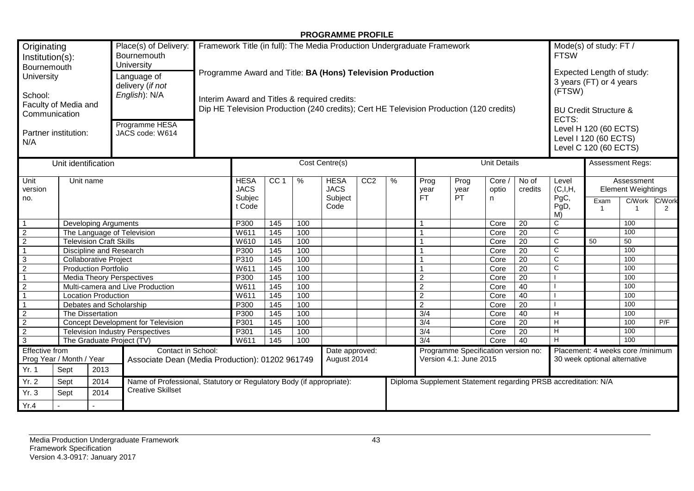#### **PROGRAMME PROFILE**

| Originating<br>Institution(s):<br>Bournemouth<br>University<br>School:<br>Communication<br>N/A                                                      | Faculty of Media and<br>Partner institution: |                                  | Place(s) of Delivery:<br>Bournemouth<br>University<br>Language of<br>delivery (if not<br>English): N/A<br>Programme HESA<br>JACS code: W614 |  | Framework Title (in full): The Media Production Undergraduate Framework<br>Programme Award and Title: BA (Hons) Television Production<br>Interim Award and Titles & required credits:<br>Dip HE Television Production (240 credits); Cert HE Television Production (120 credits) |                   |               |                                               |     |               |                                                               |                     | Mode(s) of study: FT /<br><b>FTSW</b><br>Expected Length of study:<br>3 years (FT) or 4 years<br>(FTSW)<br><b>BU Credit Structure &amp;</b><br>ECTS:<br>Level H 120 (60 ECTS)<br>Level I 120 (60 ECTS)<br>Level C 120 (60 ECTS) |                  |                                                                  |                        |                                                         |             |
|-----------------------------------------------------------------------------------------------------------------------------------------------------|----------------------------------------------|----------------------------------|---------------------------------------------------------------------------------------------------------------------------------------------|--|----------------------------------------------------------------------------------------------------------------------------------------------------------------------------------------------------------------------------------------------------------------------------------|-------------------|---------------|-----------------------------------------------|-----|---------------|---------------------------------------------------------------|---------------------|---------------------------------------------------------------------------------------------------------------------------------------------------------------------------------------------------------------------------------|------------------|------------------------------------------------------------------|------------------------|---------------------------------------------------------|-------------|
|                                                                                                                                                     | Unit identification                          |                                  |                                                                                                                                             |  |                                                                                                                                                                                                                                                                                  |                   |               | Cost Centre(s)                                |     |               |                                                               |                     | <b>Unit Details</b>                                                                                                                                                                                                             |                  |                                                                  |                        | Assessment Regs:                                        |             |
| Unit<br>version<br>no.                                                                                                                              | Unit name                                    |                                  |                                                                                                                                             |  | <b>HESA</b><br><b>JACS</b><br>Subjec<br>t Code                                                                                                                                                                                                                                   | CC <sub>1</sub>   | $\frac{9}{6}$ | <b>HESA</b><br><b>JACS</b><br>Subject<br>Code | CC2 | $\frac{9}{6}$ | Prog<br>year<br>FT.                                           | Prog<br>year<br>PT. | Core /<br>optio<br>n.                                                                                                                                                                                                           | No of<br>credits | Level<br>(C,I,H)<br>PgC,<br>PgD,<br>M)                           | Exam<br>$\overline{1}$ | Assessment<br><b>Element Weightings</b><br>C/Work<br>-1 | C/Work<br>2 |
| $\overline{1}$                                                                                                                                      |                                              | <b>Developing Arguments</b>      |                                                                                                                                             |  | P300                                                                                                                                                                                                                                                                             | 145               | 100           |                                               |     |               | $\overline{1}$                                                |                     | Core                                                                                                                                                                                                                            | $\overline{20}$  | $\overline{C}$                                                   |                        | 100                                                     |             |
| $\overline{2}$                                                                                                                                      |                                              |                                  | The Language of Television                                                                                                                  |  | W611                                                                                                                                                                                                                                                                             | 145               | 100           |                                               |     |               |                                                               |                     | Core                                                                                                                                                                                                                            | $\overline{20}$  | C                                                                |                        | 100                                                     |             |
| $\overline{2}$                                                                                                                                      |                                              | <b>Television Craft Skills</b>   |                                                                                                                                             |  | W610                                                                                                                                                                                                                                                                             | 145               | 100           |                                               |     |               |                                                               |                     | Core                                                                                                                                                                                                                            | 20               | $\mathsf{C}$                                                     | 50                     | 50                                                      |             |
| $\overline{1}$                                                                                                                                      |                                              | Discipline and Research          |                                                                                                                                             |  | P300                                                                                                                                                                                                                                                                             | 145               | 100           |                                               |     |               |                                                               |                     | Core                                                                                                                                                                                                                            | 20               | $\mathsf{C}$                                                     |                        | 100                                                     |             |
| $\overline{3}$                                                                                                                                      |                                              | <b>Collaborative Project</b>     |                                                                                                                                             |  | P310                                                                                                                                                                                                                                                                             | 145               | 100           |                                               |     |               |                                                               |                     | Core                                                                                                                                                                                                                            | 20               | C                                                                |                        | 100                                                     |             |
| $\overline{2}$                                                                                                                                      |                                              | <b>Production Portfolio</b>      |                                                                                                                                             |  | W611                                                                                                                                                                                                                                                                             | 145               | 100           |                                               |     |               |                                                               |                     | Core                                                                                                                                                                                                                            | 20               | C                                                                |                        | 100                                                     |             |
| $\overline{1}$                                                                                                                                      |                                              | <b>Media Theory Perspectives</b> |                                                                                                                                             |  | P <sub>300</sub>                                                                                                                                                                                                                                                                 | 145               | 100           |                                               |     |               | $\sqrt{2}$                                                    |                     | Core                                                                                                                                                                                                                            | 20               |                                                                  |                        | 100                                                     |             |
| $\overline{2}$                                                                                                                                      |                                              |                                  | Multi-camera and Live Production                                                                                                            |  | W611                                                                                                                                                                                                                                                                             | $\frac{145}{145}$ | 100           |                                               |     |               | $\overline{2}$                                                |                     | Core                                                                                                                                                                                                                            | 40               |                                                                  |                        | 100                                                     |             |
| $\overline{1}$                                                                                                                                      |                                              | <b>Location Production</b>       |                                                                                                                                             |  | W611                                                                                                                                                                                                                                                                             | 145               | 100           |                                               |     |               | 2                                                             |                     | Core                                                                                                                                                                                                                            | 40               |                                                                  |                        | 100                                                     |             |
| $\overline{1}$                                                                                                                                      |                                              | Debates and Scholarship          |                                                                                                                                             |  | P300                                                                                                                                                                                                                                                                             | 145               | 100           |                                               |     |               | $\overline{2}$                                                |                     | Core                                                                                                                                                                                                                            | $\overline{20}$  |                                                                  |                        | 100                                                     |             |
| $\overline{2}$                                                                                                                                      |                                              | The Dissertation                 |                                                                                                                                             |  | P300                                                                                                                                                                                                                                                                             | 145               | 100           |                                               |     |               | $\overline{3/4}$                                              |                     | Core                                                                                                                                                                                                                            | 40               | H                                                                |                        | 100                                                     |             |
| $\frac{2}{2}$                                                                                                                                       |                                              |                                  | <b>Concept Development for Television</b>                                                                                                   |  | P301                                                                                                                                                                                                                                                                             | 145               | 100           |                                               |     |               | $\overline{3/4}$                                              |                     | Core                                                                                                                                                                                                                            | $\overline{20}$  | $\overline{H}$                                                   |                        | 100                                                     | P/F         |
|                                                                                                                                                     |                                              |                                  | <b>Television Industry Perspectives</b>                                                                                                     |  | P301                                                                                                                                                                                                                                                                             | 145               | 100           |                                               |     |               | 3/4                                                           |                     | Core                                                                                                                                                                                                                            | $\overline{20}$  | H                                                                |                        | 100                                                     |             |
| $\overline{3}$                                                                                                                                      |                                              | The Graduate Project (TV)        |                                                                                                                                             |  | W611                                                                                                                                                                                                                                                                             | 145               | 100           |                                               |     |               | $\overline{3/4}$                                              |                     | Core                                                                                                                                                                                                                            | $\overline{40}$  | $\overline{H}$                                                   |                        | 100                                                     |             |
| <b>Effective from</b><br>Contact in School:<br>Prog Year / Month / Year<br>Associate Dean (Media Production): 01202 961749<br>Yr. 1<br>Sept<br>2013 |                                              |                                  |                                                                                                                                             |  | Date approved:<br>August 2014                                                                                                                                                                                                                                                    |                   |               |                                               |     |               | Programme Specification version no:<br>Version 4.1: June 2015 |                     |                                                                                                                                                                                                                                 |                  | Placement: 4 weeks core /minimum<br>30 week optional alternative |                        |                                                         |             |
| Yr. 2                                                                                                                                               | Sept                                         | 2014                             | Name of Professional, Statutory or Regulatory Body (if appropriate):                                                                        |  |                                                                                                                                                                                                                                                                                  |                   |               |                                               |     |               |                                                               |                     |                                                                                                                                                                                                                                 |                  | Diploma Supplement Statement regarding PRSB accreditation: N/A   |                        |                                                         |             |
| Yr. 3                                                                                                                                               | Sept                                         | 2014                             | <b>Creative Skillset</b>                                                                                                                    |  |                                                                                                                                                                                                                                                                                  |                   |               |                                               |     |               |                                                               |                     |                                                                                                                                                                                                                                 |                  |                                                                  |                        |                                                         |             |
| Yr.4                                                                                                                                                |                                              |                                  |                                                                                                                                             |  |                                                                                                                                                                                                                                                                                  |                   |               |                                               |     |               |                                                               |                     |                                                                                                                                                                                                                                 |                  |                                                                  |                        |                                                         |             |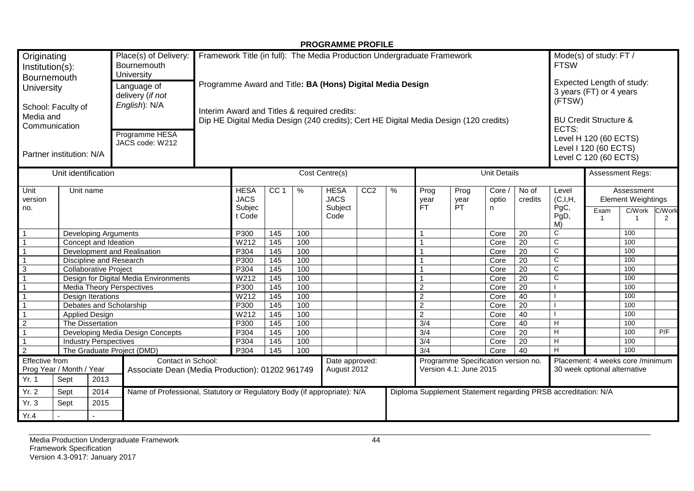|                                                                                                                                                                                                                                                                                                                                                |                     |                              |                                                                          |  |                               |                          |            | <b>PROGRAMME PROFILE</b>                                                |     |                                                                                                             |                                                                         |                     |                     |                       |                                                                |                                                                  |                                         |     |  |
|------------------------------------------------------------------------------------------------------------------------------------------------------------------------------------------------------------------------------------------------------------------------------------------------------------------------------------------------|---------------------|------------------------------|--------------------------------------------------------------------------|--|-------------------------------|--------------------------|------------|-------------------------------------------------------------------------|-----|-------------------------------------------------------------------------------------------------------------|-------------------------------------------------------------------------|---------------------|---------------------|-----------------------|----------------------------------------------------------------|------------------------------------------------------------------|-----------------------------------------|-----|--|
| Originating<br>Institution(s):                                                                                                                                                                                                                                                                                                                 |                     |                              | Place(s) of Delivery:<br>Bournemouth<br>University                       |  |                               |                          |            | Framework Title (in full): The Media Production Undergraduate Framework |     |                                                                                                             |                                                                         |                     |                     |                       | Mode(s) of study: FT /<br><b>FTSW</b>                          |                                                                  |                                         |     |  |
| <b>Bournemouth</b><br>Programme Award and Title: BA (Hons) Digital Media Design<br>Language of<br>University<br>delivery (if not<br>English): N/A<br>School: Faculty of<br>Interim Award and Titles & required credits:<br>Media and<br>Dip HE Digital Media Design (240 credits); Cert HE Digital Media Design (120 credits)<br>Communication |                     |                              |                                                                          |  |                               |                          |            |                                                                         |     | Expected Length of study:<br>3 years (FT) or 4 years<br>(FTSW)<br><b>BU Credit Structure &amp;</b><br>ECTS: |                                                                         |                     |                     |                       |                                                                |                                                                  |                                         |     |  |
| Programme HESA<br>JACS code: W212<br>Partner institution: N/A                                                                                                                                                                                                                                                                                  |                     |                              |                                                                          |  |                               |                          |            |                                                                         |     |                                                                                                             | Level H 120 (60 ECTS)<br>Level I 120 (60 ECTS)<br>Level C 120 (60 ECTS) |                     |                     |                       |                                                                |                                                                  |                                         |     |  |
|                                                                                                                                                                                                                                                                                                                                                | Unit identification |                              |                                                                          |  |                               |                          |            | Cost Centre(s)                                                          |     |                                                                                                             |                                                                         |                     | <b>Unit Details</b> |                       |                                                                |                                                                  | Assessment Regs:                        |     |  |
| Unit<br>version                                                                                                                                                                                                                                                                                                                                | Unit name           |                              |                                                                          |  | <b>HESA</b><br><b>JACS</b>    | CC <sub>1</sub>          | %          | <b>HESA</b><br><b>JACS</b><br>Subject                                   | CC2 | %                                                                                                           | Prog<br>year<br>FT.                                                     | Prog<br>vear<br>PT. | Core /<br>optio     | No of<br>credits      | Level<br>(C,I,H,                                               |                                                                  | Assessment<br><b>Element Weightings</b> |     |  |
|                                                                                                                                                                                                                                                                                                                                                | no.                 |                              |                                                                          |  | Subjec<br>t Code              |                          |            | Code                                                                    |     |                                                                                                             |                                                                         |                     | n                   |                       | PgC,<br>PgD,<br>M)                                             | Exam<br>$\overline{1}$                                           | C/Work C/Work<br>-1                     | 2   |  |
| $\overline{1}$                                                                                                                                                                                                                                                                                                                                 |                     | <b>Developing Arguments</b>  |                                                                          |  | P300                          | 145                      | 100        |                                                                         |     |                                                                                                             |                                                                         |                     | Core                | 20                    | C                                                              |                                                                  | 100                                     |     |  |
| $\overline{1}$                                                                                                                                                                                                                                                                                                                                 |                     | Concept and Ideation         |                                                                          |  | W212                          | 145                      | 100        |                                                                         |     |                                                                                                             |                                                                         |                     | Core                | 20                    | C                                                              |                                                                  | 100                                     |     |  |
| $\overline{1}$                                                                                                                                                                                                                                                                                                                                 |                     |                              | Development and Realisation                                              |  | P304                          | 145                      | 100        |                                                                         |     |                                                                                                             |                                                                         |                     | Core                | $\overline{20}$       | $\overline{\mathsf{C}}$                                        |                                                                  | 100                                     |     |  |
| $\overline{1}$                                                                                                                                                                                                                                                                                                                                 |                     | Discipline and Research      |                                                                          |  | P300                          | 145                      | 100        |                                                                         |     |                                                                                                             |                                                                         |                     | Core                | $\overline{20}$       | $\overline{c}$                                                 |                                                                  | 100                                     |     |  |
| $\overline{3}$                                                                                                                                                                                                                                                                                                                                 |                     | <b>Collaborative Project</b> |                                                                          |  | P304                          | 145                      | 100        |                                                                         |     |                                                                                                             |                                                                         |                     | Core                | $\overline{20}$       | $\mathsf{C}$                                                   |                                                                  | 100                                     |     |  |
| $\overline{1}$                                                                                                                                                                                                                                                                                                                                 |                     |                              | Design for Digital Media Environments                                    |  | W212                          | $\frac{145}{145}$        | 100        |                                                                         |     |                                                                                                             |                                                                         |                     | Core                | $\overline{20}$       | $\mathsf{C}$                                                   |                                                                  | 100                                     |     |  |
| $\overline{1}$                                                                                                                                                                                                                                                                                                                                 |                     |                              | <b>Media Theory Perspectives</b>                                         |  | P300                          | 145                      | 100        |                                                                         |     |                                                                                                             | $\overline{c}$                                                          |                     | Core                | 20                    |                                                                |                                                                  | 100                                     |     |  |
| $\overline{1}$                                                                                                                                                                                                                                                                                                                                 |                     | Design Iterations            |                                                                          |  | $\overline{W21}2$             | 145                      | 100        |                                                                         |     |                                                                                                             | $\overline{c}$                                                          |                     | Core                | 40                    |                                                                |                                                                  | 100                                     |     |  |
| $\overline{1}$                                                                                                                                                                                                                                                                                                                                 |                     | Debates and Scholarship      |                                                                          |  | P300                          | 145                      | 100        |                                                                         |     |                                                                                                             | $\overline{2}$                                                          |                     | Core                | 20                    |                                                                |                                                                  | 100                                     |     |  |
| $\overline{1}$                                                                                                                                                                                                                                                                                                                                 |                     | <b>Applied Design</b>        |                                                                          |  | W212<br>P300                  | 145                      | 100        |                                                                         |     |                                                                                                             | $\overline{2}$<br>$\overline{3/4}$                                      |                     | Core                | 40                    | H                                                              |                                                                  | 100<br>100                              |     |  |
| $\overline{2}$<br>$\overline{1}$                                                                                                                                                                                                                                                                                                               |                     | The Dissertation             | Developing Media Design Concepts                                         |  | P304                          | 145<br>$\frac{145}{145}$ | 100<br>100 |                                                                         |     |                                                                                                             | $\overline{3/4}$                                                        |                     | Core<br>Core        | 40<br>$\overline{20}$ | H                                                              |                                                                  | 100                                     | P/F |  |
| $\overline{1}$                                                                                                                                                                                                                                                                                                                                 |                     | <b>Industry Perspectives</b> |                                                                          |  | P304                          | 145                      | 100        |                                                                         |     |                                                                                                             | $\overline{3/4}$                                                        |                     | Core                | $\overline{20}$       | H                                                              |                                                                  | 100                                     |     |  |
| $\overline{2}$                                                                                                                                                                                                                                                                                                                                 |                     |                              |                                                                          |  | P304                          | 145                      | 100        |                                                                         |     |                                                                                                             | 3/4                                                                     |                     | Core                | 40                    | H                                                              |                                                                  | 100                                     |     |  |
| The Graduate Project (DMD)<br>Effective from<br>Contact in School:<br>Prog Year / Month / Year<br>Associate Dean (Media Production): 01202 961749                                                                                                                                                                                              |                     |                              |                                                                          |  | Date approved:<br>August 2012 |                          |            |                                                                         |     |                                                                                                             | Programme Specification version no.<br>Version 4.1: June 2015           |                     |                     |                       |                                                                | Placement: 4 weeks core /minimum<br>30 week optional alternative |                                         |     |  |
| Yr. 1                                                                                                                                                                                                                                                                                                                                          | Sept                | 2013                         |                                                                          |  |                               |                          |            |                                                                         |     |                                                                                                             |                                                                         |                     |                     |                       |                                                                |                                                                  |                                         |     |  |
| Yr. 2                                                                                                                                                                                                                                                                                                                                          | Sept                | 2014                         | Name of Professional, Statutory or Regulatory Body (if appropriate): N/A |  |                               |                          |            |                                                                         |     |                                                                                                             |                                                                         |                     |                     |                       | Diploma Supplement Statement regarding PRSB accreditation: N/A |                                                                  |                                         |     |  |
| Yr. 3                                                                                                                                                                                                                                                                                                                                          | Sept                | 2015                         |                                                                          |  |                               |                          |            |                                                                         |     |                                                                                                             |                                                                         |                     |                     |                       |                                                                |                                                                  |                                         |     |  |
| Yr.4                                                                                                                                                                                                                                                                                                                                           |                     | $\mathbf{r}$                 |                                                                          |  |                               |                          |            |                                                                         |     |                                                                                                             |                                                                         |                     |                     |                       |                                                                |                                                                  |                                         |     |  |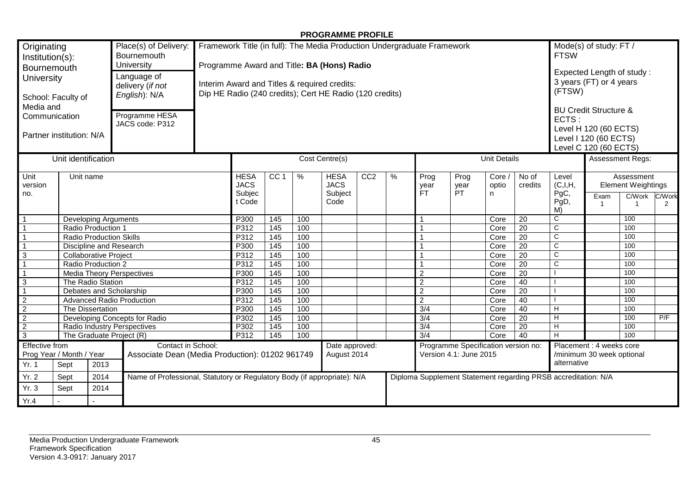#### **PROGRAMME PROFILE**

| Originating<br>Place(s) of Delivery:<br>Bournemouth<br>Institution(s):<br>University<br>Bournemouth<br>Language of<br>University<br>delivery (if not<br>English): N/A<br>School: Faculty of<br>Media and<br>Programme HESA<br>Communication<br>JACS code: P312<br>Partner institution: N/A |                                                 |      |                                                                          |      | Framework Title (in full): The Media Production Undergraduate Framework<br>Programme Award and Title: BA (Hons) Radio<br>Interim Award and Titles & required credits:<br>Dip HE Radio (240 credits); Cert HE Radio (120 credits) |                   |     |                                               |                 |     |                                                               |                           |                      |                                                                      | Mode(s) of study: FT /<br><b>FTSW</b><br>Expected Length of study:<br>3 years (FT) or 4 years<br>(FTSW)<br><b>BU Credit Structure &amp;</b><br>ECTS:<br>Level H 120 (60 ECTS)<br>Level I 120 (60 ECTS)<br>Level C 120 (60 ECTS) |                        |                                                                     |             |
|--------------------------------------------------------------------------------------------------------------------------------------------------------------------------------------------------------------------------------------------------------------------------------------------|-------------------------------------------------|------|--------------------------------------------------------------------------|------|----------------------------------------------------------------------------------------------------------------------------------------------------------------------------------------------------------------------------------|-------------------|-----|-----------------------------------------------|-----------------|-----|---------------------------------------------------------------|---------------------------|----------------------|----------------------------------------------------------------------|---------------------------------------------------------------------------------------------------------------------------------------------------------------------------------------------------------------------------------|------------------------|---------------------------------------------------------------------|-------------|
| Unit identification                                                                                                                                                                                                                                                                        |                                                 |      |                                                                          |      | Cost Centre(s)                                                                                                                                                                                                                   |                   |     |                                               |                 |     |                                                               | <b>Unit Details</b>       |                      | Assessment Regs:                                                     |                                                                                                                                                                                                                                 |                        |                                                                     |             |
| Unit<br>version<br>no.                                                                                                                                                                                                                                                                     | Unit name                                       |      |                                                                          |      | <b>HESA</b><br><b>JACS</b><br>Subjec<br>t Code                                                                                                                                                                                   | CC <sub>1</sub>   | %   | <b>HESA</b><br><b>JACS</b><br>Subject<br>Code | CC <sub>2</sub> | %   | Prog<br>year<br>FT.                                           | Prog<br>year<br><b>PT</b> | Core /<br>optio<br>n | No of<br>credits                                                     | Level<br>(C,I,H,<br>PgC,<br>PgD,<br>M)                                                                                                                                                                                          | Exam<br>$\overline{1}$ | Assessment<br><b>Element Weightings</b><br>C/Work<br>$\overline{1}$ | C/Work<br>2 |
| $\mathbf{1}$<br><b>Developing Arguments</b>                                                                                                                                                                                                                                                |                                                 |      |                                                                          |      | P300                                                                                                                                                                                                                             | 145               | 100 |                                               |                 |     | 1                                                             |                           | Core                 | 20                                                                   | С                                                                                                                                                                                                                               |                        | 100                                                                 |             |
| $\mathbf{1}$<br>Radio Production 1                                                                                                                                                                                                                                                         |                                                 |      |                                                                          |      | P312                                                                                                                                                                                                                             | $\overline{145}$  | 100 |                                               |                 |     |                                                               |                           | Core                 | 20                                                                   | C                                                                                                                                                                                                                               |                        | 100                                                                 |             |
| $\mathbf{1}$<br><b>Radio Production Skills</b>                                                                                                                                                                                                                                             |                                                 |      |                                                                          |      | P312                                                                                                                                                                                                                             | 145               | 100 |                                               |                 |     |                                                               |                           | Core                 | $\overline{20}$                                                      | C                                                                                                                                                                                                                               |                        | 100                                                                 |             |
| $\mathbf{1}$<br>Discipline and Research                                                                                                                                                                                                                                                    |                                                 |      |                                                                          |      | P300                                                                                                                                                                                                                             | 145               | 100 |                                               |                 |     |                                                               |                           | Core                 | 20                                                                   | C                                                                                                                                                                                                                               |                        | 100                                                                 |             |
| $\overline{3}$<br><b>Collaborative Project</b>                                                                                                                                                                                                                                             |                                                 |      |                                                                          |      | P312                                                                                                                                                                                                                             | 145               | 100 |                                               |                 |     |                                                               |                           | Core                 | $\overline{20}$                                                      | $\overline{\text{c}}$                                                                                                                                                                                                           |                        | 100                                                                 |             |
| $\overline{1}$<br>Radio Production 2                                                                                                                                                                                                                                                       |                                                 |      |                                                                          |      | P312                                                                                                                                                                                                                             | $\frac{145}{145}$ | 100 |                                               |                 |     |                                                               |                           | Core                 | $\overline{20}$                                                      | $\overline{\text{c}}$                                                                                                                                                                                                           |                        | 100                                                                 |             |
| $\mathbf{1}$<br>Media Theory Perspectives                                                                                                                                                                                                                                                  |                                                 |      |                                                                          |      | P300                                                                                                                                                                                                                             | $\frac{145}{145}$ | 100 |                                               |                 |     | $\overline{2}$                                                |                           | Core                 | $\overline{20}$                                                      |                                                                                                                                                                                                                                 |                        | 100                                                                 |             |
| $\overline{3}$<br>The Radio Station                                                                                                                                                                                                                                                        |                                                 |      |                                                                          |      | P312                                                                                                                                                                                                                             | 145               | 100 |                                               |                 |     | $\overline{2}$                                                |                           | Core                 | 40                                                                   |                                                                                                                                                                                                                                 |                        | 100                                                                 |             |
| $\mathbf{1}$<br>Debates and Scholarship                                                                                                                                                                                                                                                    |                                                 |      |                                                                          |      | P300                                                                                                                                                                                                                             | 145               | 100 |                                               |                 |     | $\overline{c}$                                                |                           | Core                 | 20                                                                   |                                                                                                                                                                                                                                 |                        | 100                                                                 |             |
| $\overline{2}$<br><b>Advanced Radio Production</b>                                                                                                                                                                                                                                         |                                                 |      |                                                                          |      | P312                                                                                                                                                                                                                             | 145               | 100 |                                               |                 |     | $\overline{2}$                                                |                           | Core                 | 40                                                                   |                                                                                                                                                                                                                                 |                        | 100                                                                 |             |
| $\overline{2}$<br>The Dissertation                                                                                                                                                                                                                                                         |                                                 |      |                                                                          |      | P300<br>P302                                                                                                                                                                                                                     | 145               | 100 |                                               |                 |     | 3/4                                                           |                           | Core                 | 40                                                                   | Н                                                                                                                                                                                                                               |                        | 100                                                                 |             |
|                                                                                                                                                                                                                                                                                            | $\overline{2}$<br>Developing Concepts for Radio |      |                                                                          |      |                                                                                                                                                                                                                                  | 145               | 100 |                                               |                 |     | 3/4                                                           |                           | Core                 | $\overline{20}$                                                      | н                                                                                                                                                                                                                               |                        | 100                                                                 | P/F         |
| $\overline{2}$<br>Radio Industry Perspectives<br>The Graduate Project (R)                                                                                                                                                                                                                  |                                                 |      |                                                                          | P302 | $\overline{145}$                                                                                                                                                                                                                 | 100               |     |                                               |                 | 3/4 |                                                               | Core                      | $\overline{20}$      | н                                                                    |                                                                                                                                                                                                                                 | 100                    |                                                                     |             |
| $\overline{3}$                                                                                                                                                                                                                                                                             |                                                 |      |                                                                          |      | P312                                                                                                                                                                                                                             | 145               | 100 |                                               |                 |     | $\overline{3/4}$                                              |                           | Core                 | 40                                                                   | H                                                                                                                                                                                                                               |                        | 100                                                                 |             |
| Effective from<br>Contact in School:<br>Prog Year / Month / Year<br>Associate Dean (Media Production): 01202 961749<br>Yr. 1<br>Sept<br>2013                                                                                                                                               |                                                 |      |                                                                          |      |                                                                                                                                                                                                                                  |                   |     | Date approved:<br>August 2014                 |                 |     | Programme Specification version no:<br>Version 4.1: June 2015 |                           |                      | Placement : 4 weeks core<br>/minimum 30 week optional<br>alternative |                                                                                                                                                                                                                                 |                        |                                                                     |             |
| Yr. 2                                                                                                                                                                                                                                                                                      | Sept                                            | 2014 | Name of Professional, Statutory or Regulatory Body (if appropriate): N/A |      |                                                                                                                                                                                                                                  |                   |     |                                               |                 |     |                                                               |                           |                      |                                                                      | Diploma Supplement Statement regarding PRSB accreditation: N/A                                                                                                                                                                  |                        |                                                                     |             |
| Yr.3                                                                                                                                                                                                                                                                                       | Sept                                            | 2014 |                                                                          |      |                                                                                                                                                                                                                                  |                   |     |                                               |                 |     |                                                               |                           |                      |                                                                      |                                                                                                                                                                                                                                 |                        |                                                                     |             |
| Yr.4                                                                                                                                                                                                                                                                                       |                                                 |      |                                                                          |      |                                                                                                                                                                                                                                  |                   |     |                                               |                 |     |                                                               |                           |                      |                                                                      |                                                                                                                                                                                                                                 |                        |                                                                     |             |